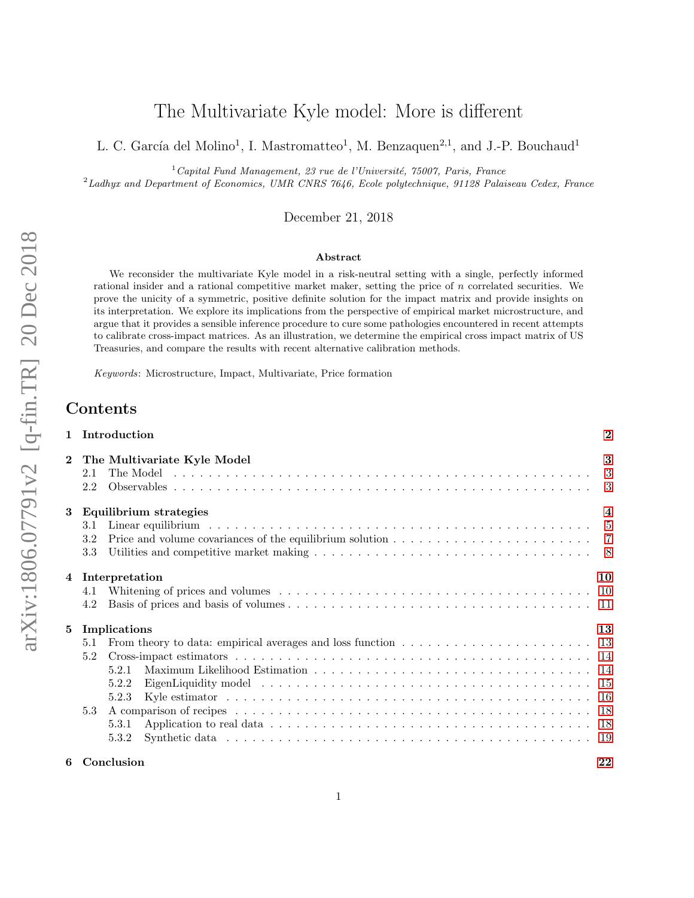# The Multivariate Kyle model: More is different

L. C. García del Molino<sup>1</sup>, I. Mastromatteo<sup>1</sup>, M. Benzaquen<sup>2,1</sup>, and J.-P. Bouchaud<sup>1</sup>

 $1$ Capital Fund Management, 23 rue de l'Université, 75007, Paris, France

 $^{2}$ Ladhyx and Department of Economics, UMR CNRS 7646, Ecole polytechnique, 91128 Palaiseau Cedex, France

December 21, 2018

#### Abstract

We reconsider the multivariate Kyle model in a risk-neutral setting with a single, perfectly informed rational insider and a rational competitive market maker, setting the price of n correlated securities. We prove the unicity of a symmetric, positive definite solution for the impact matrix and provide insights on its interpretation. We explore its implications from the perspective of empirical market microstructure, and argue that it provides a sensible inference procedure to cure some pathologies encountered in recent attempts to calibrate cross-impact matrices. As an illustration, we determine the empirical cross impact matrix of US Treasuries, and compare the results with recent alternative calibration methods.

Keywords: Microstructure, Impact, Multivariate, Price formation

# Contents

| Introduction<br>$\mathbf{1}$ |                                                                                                                                                                                                              |                         |  |  |
|------------------------------|--------------------------------------------------------------------------------------------------------------------------------------------------------------------------------------------------------------|-------------------------|--|--|
| $\mathbf{2}$                 | The Multivariate Kyle Model<br>2.1<br>2.2                                                                                                                                                                    | 3<br>3                  |  |  |
| 3                            | Equilibrium strategies<br>3.1<br>3.2<br>3.3                                                                                                                                                                  | $\overline{\mathbf{4}}$ |  |  |
| $\overline{4}$               | Interpretation<br>4.1<br>4.2                                                                                                                                                                                 | 10                      |  |  |
| 5                            | Implications<br>From theory to data: empirical averages and loss function $\dots \dots \dots \dots \dots \dots \dots \dots \dots \dots$ 13<br>5.1<br>5.2<br>5.2.1<br>5.2.2<br>5.2.3<br>5.3<br>5.3.1<br>5.3.2 | 13                      |  |  |
| 6                            | Conclusion                                                                                                                                                                                                   | 22                      |  |  |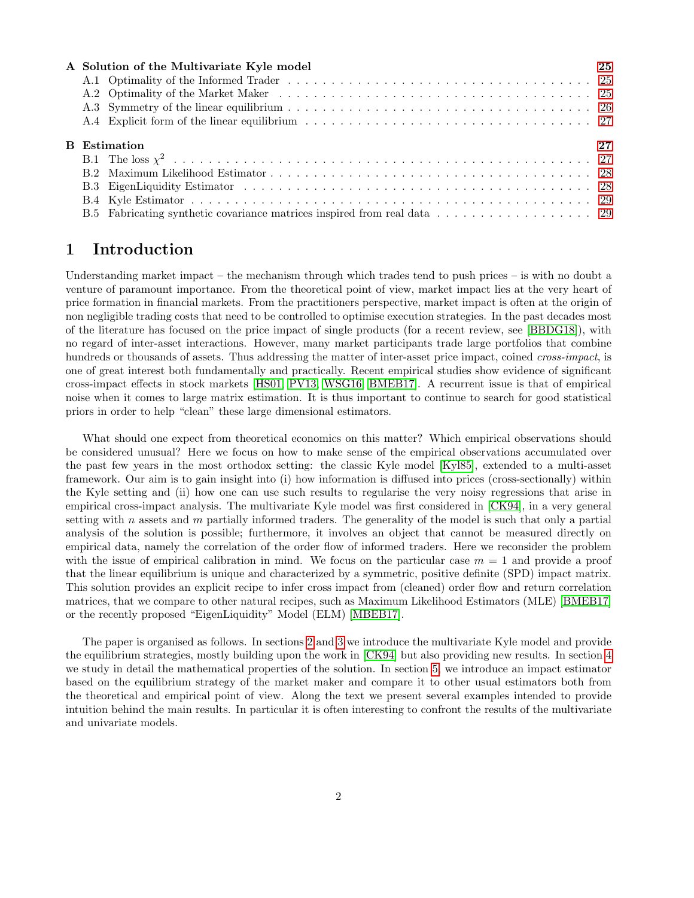| A Solution of the Multivariate Kyle model | 25 |  |  |  |  |
|-------------------------------------------|----|--|--|--|--|
|                                           |    |  |  |  |  |
|                                           |    |  |  |  |  |
|                                           |    |  |  |  |  |
|                                           |    |  |  |  |  |
| <b>B</b> Estimation<br>27                 |    |  |  |  |  |
|                                           |    |  |  |  |  |
|                                           |    |  |  |  |  |
|                                           |    |  |  |  |  |
|                                           |    |  |  |  |  |
|                                           |    |  |  |  |  |

# <span id="page-1-0"></span>1 Introduction

Understanding market impact – the mechanism through which trades tend to push prices – is with no doubt a venture of paramount importance. From the theoretical point of view, market impact lies at the very heart of price formation in financial markets. From the practitioners perspective, market impact is often at the origin of non negligible trading costs that need to be controlled to optimise execution strategies. In the past decades most of the literature has focused on the price impact of single products (for a recent review, see [\[BBDG18\]](#page-23-0)), with no regard of inter-asset interactions. However, many market participants trade large portfolios that combine hundreds or thousands of assets. Thus addressing the matter of inter-asset price impact, coined *cross-impact*, is one of great interest both fundamentally and practically. Recent empirical studies show evidence of significant cross-impact effects in stock markets [\[HS01,](#page-23-1) [PV13,](#page-23-2) [WSG16,](#page-23-3) [BMEB17\]](#page-23-4). A recurrent issue is that of empirical noise when it comes to large matrix estimation. It is thus important to continue to search for good statistical priors in order to help "clean" these large dimensional estimators.

What should one expect from theoretical economics on this matter? Which empirical observations should be considered unusual? Here we focus on how to make sense of the empirical observations accumulated over the past few years in the most orthodox setting: the classic Kyle model [\[Kyl85\]](#page-23-5), extended to a multi-asset framework. Our aim is to gain insight into (i) how information is diffused into prices (cross-sectionally) within the Kyle setting and (ii) how one can use such results to regularise the very noisy regressions that arise in empirical cross-impact analysis. The multivariate Kyle model was first considered in [\[CK94\]](#page-23-6), in a very general setting with n assets and m partially informed traders. The generality of the model is such that only a partial analysis of the solution is possible; furthermore, it involves an object that cannot be measured directly on empirical data, namely the correlation of the order flow of informed traders. Here we reconsider the problem with the issue of empirical calibration in mind. We focus on the particular case  $m = 1$  and provide a proof that the linear equilibrium is unique and characterized by a symmetric, positive definite (SPD) impact matrix. This solution provides an explicit recipe to infer cross impact from (cleaned) order flow and return correlation matrices, that we compare to other natural recipes, such as Maximum Likelihood Estimators (MLE) [\[BMEB17\]](#page-23-4) or the recently proposed "EigenLiquidity" Model (ELM) [\[MBEB17\]](#page-23-7).

The paper is organised as follows. In sections [2](#page-2-0) and [3](#page-3-0) we introduce the multivariate Kyle model and provide the equilibrium strategies, mostly building upon the work in [\[CK94\]](#page-23-6) but also providing new results. In section [4](#page-9-0) we study in detail the mathematical properties of the solution. In section [5,](#page-12-0) we introduce an impact estimator based on the equilibrium strategy of the market maker and compare it to other usual estimators both from the theoretical and empirical point of view. Along the text we present several examples intended to provide intuition behind the main results. In particular it is often interesting to confront the results of the multivariate and univariate models.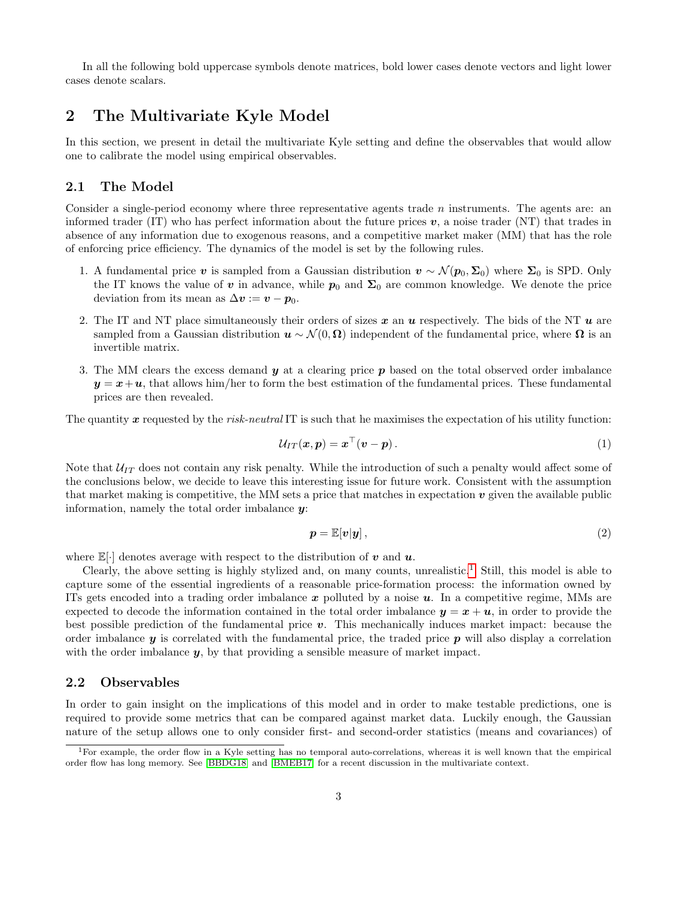In all the following bold uppercase symbols denote matrices, bold lower cases denote vectors and light lower cases denote scalars.

# <span id="page-2-0"></span>2 The Multivariate Kyle Model

In this section, we present in detail the multivariate Kyle setting and define the observables that would allow one to calibrate the model using empirical observables.

## <span id="page-2-1"></span>2.1 The Model

Consider a single-period economy where three representative agents trade  $n$  instruments. The agents are: an informed trader (IT) who has perfect information about the future prices  $v$ , a noise trader (NT) that trades in absence of any information due to exogenous reasons, and a competitive market maker (MM) that has the role of enforcing price efficiency. The dynamics of the model is set by the following rules.

- 1. A fundamental price v is sampled from a Gaussian distribution  $v \sim \mathcal{N}(p_0, \Sigma_0)$  where  $\Sigma_0$  is SPD. Only the IT knows the value of v in advance, while  $p_0$  and  $\Sigma_0$  are common knowledge. We denote the price deviation from its mean as  $\Delta v := v - p_0$ .
- 2. The IT and NT place simultaneously their orders of sizes  $x$  an  $u$  respectively. The bids of the NT  $u$  are sampled from a Gaussian distribution  $u \sim \mathcal{N}(0, \Omega)$  independent of the fundamental price, where  $\Omega$  is an invertible matrix.
- 3. The MM clears the excess demand  $\boldsymbol{y}$  at a clearing price p based on the total observed order imbalance  $y = x + u$ , that allows him/her to form the best estimation of the fundamental prices. These fundamental prices are then revealed.

The quantity  $x$  requested by the risk-neutral IT is such that he maximises the expectation of his utility function:

$$
\mathcal{U}_{IT}(\boldsymbol{x},\boldsymbol{p})=\boldsymbol{x}^{\top}(\boldsymbol{v}-\boldsymbol{p}). \qquad (1)
$$

Note that  $U_{IT}$  does not contain any risk penalty. While the introduction of such a penalty would affect some of the conclusions below, we decide to leave this interesting issue for future work. Consistent with the assumption that market making is competitive, the MM sets a price that matches in expectation  $v$  given the available public information, namely the total order imbalance  $\boldsymbol{\mathit{u}}$ :

<span id="page-2-4"></span>
$$
p = \mathbb{E}[v|y],\tag{2}
$$

where  $\mathbb{E}[\cdot]$  denotes average with respect to the distribution of v and u.

Clearly, the above setting is highly stylized and, on many counts, unrealistic.<sup>[1](#page-2-3)</sup> Still, this model is able to capture some of the essential ingredients of a reasonable price-formation process: the information owned by ITs gets encoded into a trading order imbalance  $x$  polluted by a noise  $u$ . In a competitive regime, MMs are expected to decode the information contained in the total order imbalance  $y = x + u$ , in order to provide the best possible prediction of the fundamental price v. This mechanically induces market impact: because the order imbalance  $y$  is correlated with the fundamental price, the traded price  $p$  will also display a correlation with the order imbalance  $y$ , by that providing a sensible measure of market impact.

#### <span id="page-2-2"></span>2.2 Observables

In order to gain insight on the implications of this model and in order to make testable predictions, one is required to provide some metrics that can be compared against market data. Luckily enough, the Gaussian nature of the setup allows one to only consider first- and second-order statistics (means and covariances) of

<span id="page-2-3"></span><sup>&</sup>lt;sup>1</sup>For example, the order flow in a Kyle setting has no temporal auto-correlations, whereas it is well known that the empirical order flow has long memory. See [\[BBDG18\]](#page-23-0) and [\[BMEB17\]](#page-23-4) for a recent discussion in the multivariate context.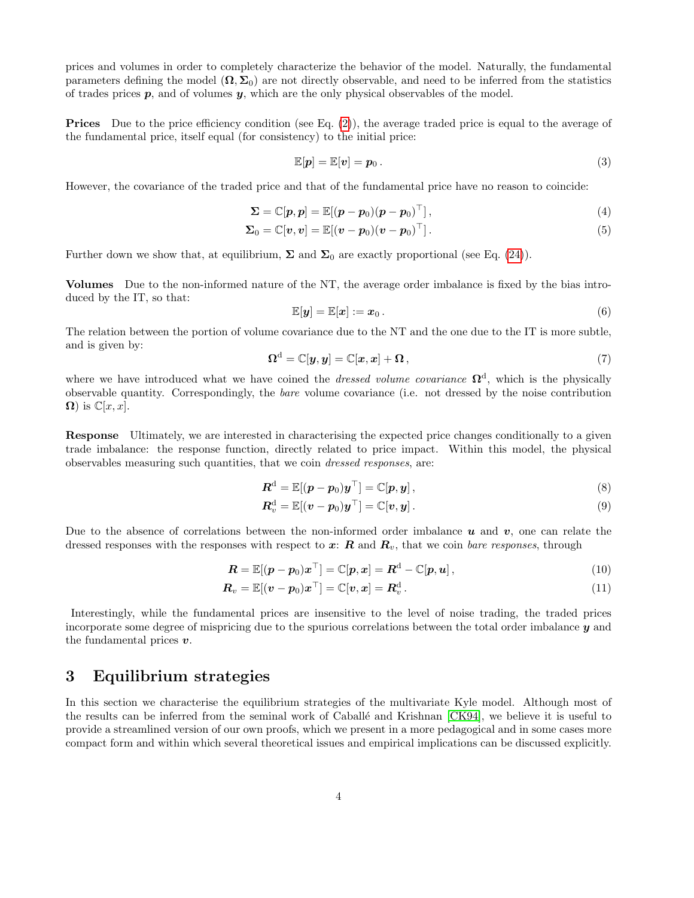prices and volumes in order to completely characterize the behavior of the model. Naturally, the fundamental parameters defining the model  $(\Omega, \Sigma_0)$  are not directly observable, and need to be inferred from the statistics of trades prices  $p$ , and of volumes  $y$ , which are the only physical observables of the model.

Prices Due to the price efficiency condition (see Eq. [\(2\)](#page-2-4)), the average traded price is equal to the average of the fundamental price, itself equal (for consistency) to the initial price:

$$
\mathbb{E}[\boldsymbol{p}] = \mathbb{E}[\boldsymbol{v}] = \boldsymbol{p}_0. \tag{3}
$$

However, the covariance of the traded price and that of the fundamental price have no reason to coincide:

$$
\mathbf{\Sigma} = \mathbb{C}[\boldsymbol{p}, \boldsymbol{p}] = \mathbb{E}[(\boldsymbol{p} - \boldsymbol{p}_0)(\boldsymbol{p} - \boldsymbol{p}_0)^\top], \tag{4}
$$

$$
\Sigma_0 = \mathbb{C}[v, v] = \mathbb{E}[(v - p_0)(v - p_0)^\top]. \tag{5}
$$

Further down we show that, at equilibrium,  $\Sigma$  and  $\Sigma_0$  are exactly proportional (see Eq. [\(24\)](#page-6-1)).

Volumes Due to the non-informed nature of the NT, the average order imbalance is fixed by the bias introduced by the IT, so that:

$$
\mathbb{E}[\boldsymbol{y}] = \mathbb{E}[\boldsymbol{x}] := \boldsymbol{x}_0. \tag{6}
$$

The relation between the portion of volume covariance due to the NT and the one due to the IT is more subtle, and is given by:

$$
\Omega^{\mathbf{d}} = \mathbb{C}[\mathbf{y}, \mathbf{y}] = \mathbb{C}[\mathbf{x}, \mathbf{x}] + \Omega, \qquad (7)
$$

where we have introduced what we have coined the *dressed volume covariance*  $\Omega^d$ , which is the physically observable quantity. Correspondingly, the bare volume covariance (i.e. not dressed by the noise contribution  $\Omega$ ) is  $\mathbb{C}[x,x]$ .

Response Ultimately, we are interested in characterising the expected price changes conditionally to a given trade imbalance: the response function, directly related to price impact. Within this model, the physical observables measuring such quantities, that we coin dressed responses, are:

$$
\boldsymbol{R}^{\mathrm{d}} = \mathbb{E}[(\boldsymbol{p} - \boldsymbol{p}_0)\boldsymbol{y}^{\top}] = \mathbb{C}[\boldsymbol{p}, \boldsymbol{y}], \qquad (8)
$$

<span id="page-3-1"></span>
$$
\boldsymbol{R}_{v}^{\mathrm{d}} = \mathbb{E}[(\boldsymbol{v} - \boldsymbol{p}_{0})\boldsymbol{y}^{\top}] = \mathbb{C}[\boldsymbol{v}, \boldsymbol{y}]. \tag{9}
$$

Due to the absence of correlations between the non-informed order imbalance  $u$  and  $v$ , one can relate the dressed responses with the responses with respect to  $x: R$  and  $R_v$ , that we coin bare responses, through

$$
\boldsymbol{R} = \mathbb{E}[(\boldsymbol{p} - \boldsymbol{p}_0)\boldsymbol{x}^\top] = \mathbb{C}[\boldsymbol{p}, \boldsymbol{x}] = \boldsymbol{R}^{\mathrm{d}} - \mathbb{C}[\boldsymbol{p}, \boldsymbol{u}], \qquad (10)
$$

$$
\boldsymbol{R}_v = \mathbb{E}[(\boldsymbol{v} - \boldsymbol{p}_0)\boldsymbol{x}^\top] = \mathbb{C}[\boldsymbol{v}, \boldsymbol{x}] = \boldsymbol{R}_v^{\mathrm{d}}.
$$
\n(11)

Interestingly, while the fundamental prices are insensitive to the level of noise trading, the traded prices incorporate some degree of mispricing due to the spurious correlations between the total order imbalance y and the fundamental prices  $v$ .

# <span id="page-3-0"></span>3 Equilibrium strategies

In this section we characterise the equilibrium strategies of the multivariate Kyle model. Although most of the results can be inferred from the seminal work of Caballé and Krishnan [\[CK94\]](#page-23-6), we believe it is useful to provide a streamlined version of our own proofs, which we present in a more pedagogical and in some cases more compact form and within which several theoretical issues and empirical implications can be discussed explicitly.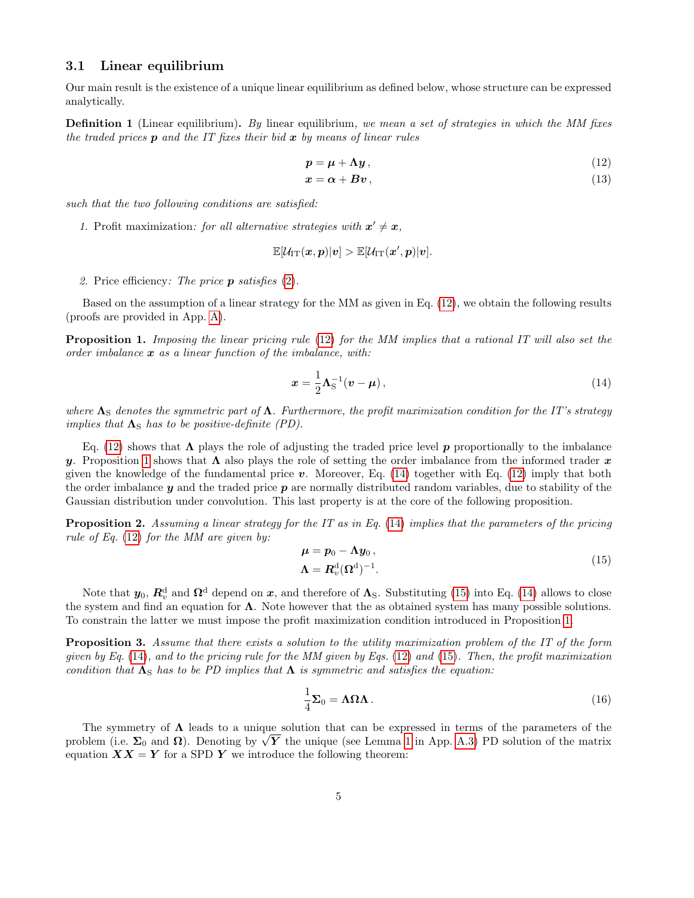## <span id="page-4-0"></span>3.1 Linear equilibrium

Our main result is the existence of a unique linear equilibrium as defined below, whose structure can be expressed analytically.

**Definition 1** (Linear equilibrium). By linear equilibrium, we mean a set of strategies in which the MM fixes the traded prices  $p$  and the IT fixes their bid  $x$  by means of linear rules

$$
p = \mu + \Lambda y, \tag{12}
$$

<span id="page-4-1"></span>
$$
x = \alpha + Bv, \tag{13}
$$

such that the two following conditions are satisfied:

1. Profit maximization: for all alternative strategies with  $x' \neq x$ ,

$$
\mathbb{E}[\mathcal{U}_{\mathrm{IT}}(\bm{x}, \bm{p})|\bm{v}] > \mathbb{E}[\mathcal{U}_{\mathrm{IT}}(\bm{x}', \bm{p})|\bm{v}].
$$

2. Price efficiency: The price  $p$  satisfies  $(2)$ .

Based on the assumption of a linear strategy for the MM as given in Eq. [\(12\)](#page-4-1), we obtain the following results (proofs are provided in App. [A\)](#page-24-0).

<span id="page-4-2"></span>**Proposition 1.** Imposing the linear pricing rule [\(12\)](#page-4-1) for the MM implies that a rational IT will also set the order imbalance  $x$  as a linear function of the imbalance, with:

<span id="page-4-3"></span>
$$
\boldsymbol{x} = \frac{1}{2} \boldsymbol{\Lambda}_{\mathrm{S}}^{-1} (\boldsymbol{v} - \boldsymbol{\mu}), \qquad (14)
$$

where  $\Lambda_S$  denotes the symmetric part of  $\Lambda$ . Furthermore, the profit maximization condition for the IT's strategy implies that  $\Lambda_{\rm S}$  has to be positive-definite (PD).

Eq. [\(12\)](#page-4-1) shows that  $\Lambda$  plays the role of adjusting the traded price level p proportionally to the imbalance y. Proposition [1](#page-4-2) shows that  $\Lambda$  also plays the role of setting the order imbalance from the informed trader x given the knowledge of the fundamental price  $v$ . Moreover, Eq. [\(14\)](#page-4-3) together with Eq. [\(12\)](#page-4-1) imply that both the order imbalance  $y$  and the traded price  $p$  are normally distributed random variables, due to stability of the Gaussian distribution under convolution. This last property is at the core of the following proposition.

<span id="page-4-6"></span>Proposition 2. Assuming a linear strategy for the IT as in Eq. [\(14\)](#page-4-3) implies that the parameters of the pricing rule of Eq.  $(12)$  for the MM are given by:

<span id="page-4-4"></span>
$$
\mu = p_0 - \Lambda y_0, \n\Lambda = R_v^{\rm d} (\Omega^{\rm d})^{-1}.
$$
\n(15)

Note that  $y_0$ ,  $\mathbb{R}^d_v$  and  $\Omega^d$  depend on  $x$ , and therefore of  $\Lambda_S$ . Substituting [\(15\)](#page-4-4) into Eq. [\(14\)](#page-4-3) allows to close the system and find an equation for  $\Lambda$ . Note however that the as obtained system has many possible solutions. To constrain the latter we must impose the profit maximization condition introduced in Proposition [1.](#page-4-2)

<span id="page-4-7"></span>**Proposition 3.** Assume that there exists a solution to the utility maximization problem of the IT of the form given by Eq.  $(14)$ , and to the pricing rule for the MM given by Eqs.  $(12)$  and  $(15)$ . Then, the profit maximization condition that  $\Lambda_S$  has to be PD implies that  $\Lambda$  is symmetric and satisfies the equation:

<span id="page-4-5"></span>
$$
\frac{1}{4}\Sigma_0 = \Lambda \Omega \Lambda. \tag{16}
$$

The symmetry of  $\Lambda$  leads to a unique solution that can be expressed in terms of the parameters of the The symmetry of  $\Lambda$  leads to a unique solution that can be expressed in terms of the parameters of the problem (i.e.  $\Sigma_0$  and  $\Omega$ ). Denoting by  $\sqrt{Y}$  the unique (see Lemma [1](#page-25-1) in App. [A.3\)](#page-25-0) PD solution of the matrix equation  $\boldsymbol{X}\boldsymbol{X} = \boldsymbol{Y}$  for a SPD  $\boldsymbol{Y}$  we introduce the following theorem: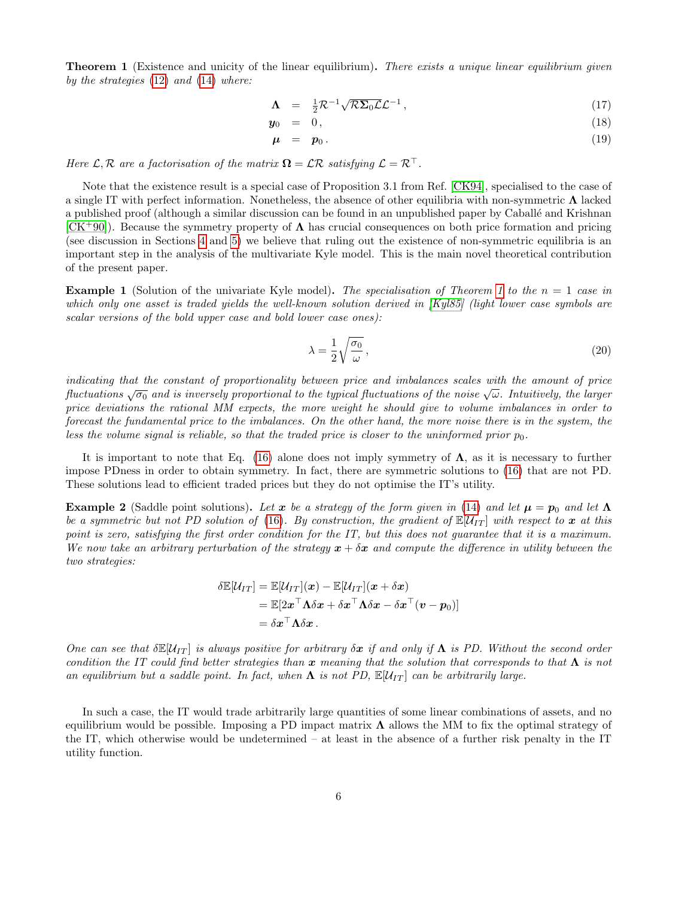<span id="page-5-0"></span>**Theorem 1** (Existence and unicity of the linear equilibrium). There exists a unique linear equilibrium given by the strategies  $(12)$  and  $(14)$  where:

<span id="page-5-1"></span>
$$
\Lambda = \frac{1}{2} \mathcal{R}^{-1} \sqrt{\mathcal{R} \Sigma_0 \mathcal{L}} \mathcal{L}^{-1} \,, \tag{17}
$$

$$
\mathbf{y}_0 = 0, \tag{18}
$$

$$
\mu = p_0. \tag{19}
$$

Here  $\mathcal{L}, \mathcal{R}$  are a factorisation of the matrix  $\mathbf{\Omega} = \mathcal{L}\mathcal{R}$  satisfying  $\mathcal{L} = \mathcal{R}^{\top}$ .

Note that the existence result is a special case of Proposition 3.1 from Ref. [\[CK94\]](#page-23-6), specialised to the case of a single IT with perfect information. Nonetheless, the absence of other equilibria with non-symmetric Λ lacked a published proof (although a similar discussion can be found in an unpublished paper by Caballé and Krishnan  $[CK^+90]$  $[CK^+90]$ . Because the symmetry property of  $\Lambda$  has crucial consequences on both price formation and pricing (see discussion in Sections [4](#page-9-0) and [5\)](#page-12-0) we believe that ruling out the existence of non-symmetric equilibria is an important step in the analysis of the multivariate Kyle model. This is the main novel theoretical contribution of the present paper.

**Example [1](#page-5-0)** (Solution of the univariate Kyle model). The specialisation of Theorem 1 to the  $n = 1$  case in which only one asset is traded yields the well-known solution derived in [\[Kyl85\]](#page-23-5) (light lower case symbols are scalar versions of the bold upper case and bold lower case ones):

$$
\lambda = \frac{1}{2} \sqrt{\frac{\sigma_0}{\omega}},\tag{20}
$$

indicating that the constant of proportionality between price and imbalances scales with the amount of price that atting that the constant of proportionality between price and thoulances scales with the amount of price<br>fluctuations  $\sqrt{\sigma_0}$  and is inversely proportional to the typical fluctuations of the noise  $\sqrt{\omega}$ . Intuitiv price deviations the rational MM expects, the more weight he should give to volume imbalances in order to forecast the fundamental price to the imbalances. On the other hand, the more noise there is in the system, the less the volume signal is reliable, so that the traded price is closer to the uninformed prior  $p_0$ .

It is important to note that Eq. [\(16\)](#page-4-5) alone does not imply symmetry of  $\Lambda$ , as it is necessary to further impose PDness in order to obtain symmetry. In fact, there are symmetric solutions to [\(16\)](#page-4-5) that are not PD. These solutions lead to efficient traded prices but they do not optimise the IT's utility.

**Example 2** (Saddle point solutions). Let x be a strategy of the form given in [\(14\)](#page-4-3) and let  $\mu = p_0$  and let  $\Lambda$ be a symmetric but not PD solution of [\(16\)](#page-4-5). By construction, the gradient of  $\mathbb{E}[U_{IT}]$  with respect to x at this point is zero, satisfying the first order condition for the IT, but this does not guarantee that it is a maximum. We now take an arbitrary perturbation of the strategy  $x + \delta x$  and compute the difference in utility between the two strategies:

$$
\delta \mathbb{E}[\mathcal{U}_{IT}] = \mathbb{E}[\mathcal{U}_{IT}](\boldsymbol{x}) - \mathbb{E}[\mathcal{U}_{IT}](\boldsymbol{x} + \delta \boldsymbol{x}) \n= \mathbb{E}[2\boldsymbol{x}^\top \boldsymbol{\Lambda} \delta \boldsymbol{x} + \delta \boldsymbol{x}^\top \boldsymbol{\Lambda} \delta \boldsymbol{x} - \delta \boldsymbol{x}^\top (\boldsymbol{v} - \boldsymbol{p}_0)] \n= \delta \boldsymbol{x}^\top \boldsymbol{\Lambda} \delta \boldsymbol{x}.
$$

One can see that  $\delta \mathbb{E}[U_{IT}]$  is always positive for arbitrary  $\delta x$  if and only if  $\Lambda$  is PD. Without the second order condition the IT could find better strategies than x meaning that the solution that corresponds to that  $\Lambda$  is not an equilibrium but a saddle point. In fact, when  $\Lambda$  is not PD,  $\mathbb{E}[U_{IT}]$  can be arbitrarily large.

In such a case, the IT would trade arbitrarily large quantities of some linear combinations of assets, and no equilibrium would be possible. Imposing a PD impact matrix  $\Lambda$  allows the MM to fix the optimal strategy of the IT, which otherwise would be undetermined – at least in the absence of a further risk penalty in the IT utility function.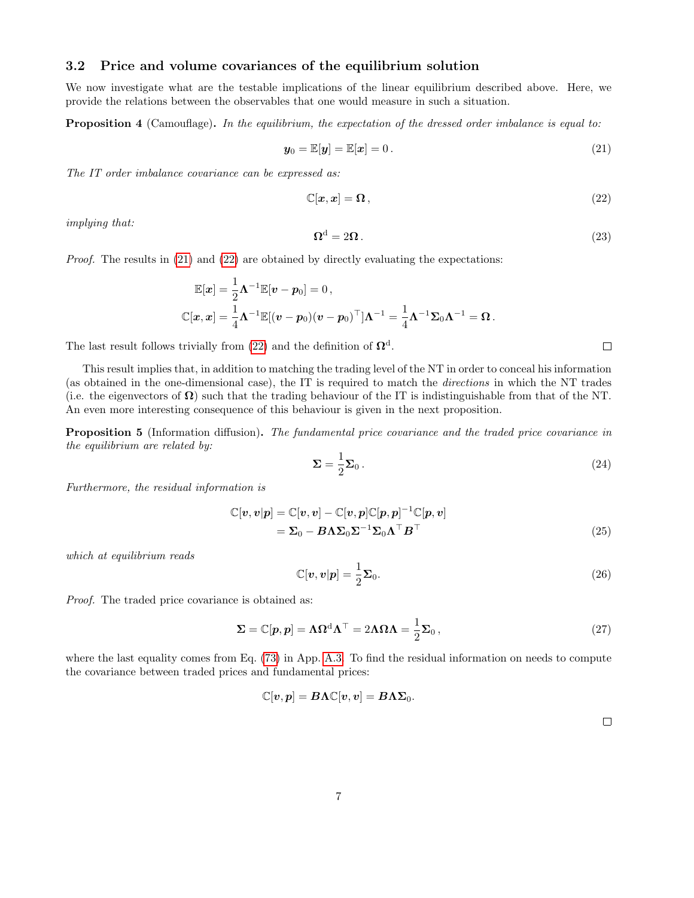## <span id="page-6-0"></span>3.2 Price and volume covariances of the equilibrium solution

We now investigate what are the testable implications of the linear equilibrium described above. Here, we provide the relations between the observables that one would measure in such a situation.

Proposition 4 (Camouflage). In the equilibrium, the expectation of the dressed order imbalance is equal to:

<span id="page-6-2"></span>
$$
\mathbf{y}_0 = \mathbb{E}[\mathbf{y}] = \mathbb{E}[\mathbf{x}] = 0.
$$
 (21)

The IT order imbalance covariance can be expressed as:

<span id="page-6-3"></span>
$$
\mathbb{C}[\boldsymbol{x}, \boldsymbol{x}] = \boldsymbol{\Omega} \,,\tag{22}
$$

implying that:

<span id="page-6-5"></span>
$$
\Omega^d = 2\Omega \,. \tag{23}
$$

*Proof.* The results in  $(21)$  and  $(22)$  are obtained by directly evaluating the expectations:

$$
\mathbb{E}[\boldsymbol{x}] = \frac{1}{2} \boldsymbol{\Lambda}^{-1} \mathbb{E}[\boldsymbol{v} - \boldsymbol{p}_0] = 0 \,,
$$
  

$$
\mathbb{C}[\boldsymbol{x}, \boldsymbol{x}] = \frac{1}{4} \boldsymbol{\Lambda}^{-1} \mathbb{E}[(\boldsymbol{v} - \boldsymbol{p}_0)(\boldsymbol{v} - \boldsymbol{p}_0)^\top] \boldsymbol{\Lambda}^{-1} = \frac{1}{4} \boldsymbol{\Lambda}^{-1} \boldsymbol{\Sigma}_0 \boldsymbol{\Lambda}^{-1} = \boldsymbol{\Omega} \,.
$$

The last result follows trivially from [\(22\)](#page-6-3) and the definition of  $\Omega^d$ .

This result implies that, in addition to matching the trading level of the NT in order to conceal his information (as obtained in the one-dimensional case), the IT is required to match the directions in which the NT trades (i.e. the eigenvectors of  $\Omega$ ) such that the trading behaviour of the IT is indistinguishable from that of the NT. An even more interesting consequence of this behaviour is given in the next proposition.

**Proposition 5** (Information diffusion). The fundamental price covariance and the traded price covariance in the equilibrium are related by:

<span id="page-6-1"></span>
$$
\Sigma = \frac{1}{2} \Sigma_0 \,. \tag{24}
$$

Furthermore, the residual information is

$$
\mathbb{C}[v, v|p] = \mathbb{C}[v, v] - \mathbb{C}[v, p]\mathbb{C}[p, p]^{-1}\mathbb{C}[p, v] \n= \Sigma_0 - B\Lambda\Sigma_0\Sigma^{-1}\Sigma_0\Lambda^\top B^\top
$$
\n(25)

which at equilibrium reads

$$
\mathbb{C}[\boldsymbol{v}, \boldsymbol{v}|\boldsymbol{p}] = \frac{1}{2} \boldsymbol{\Sigma}_0.
$$
\n(26)

Proof. The traded price covariance is obtained as:

<span id="page-6-4"></span>
$$
\Sigma = \mathbb{C}[p, p] = \Lambda \Omega^d \Lambda^\top = 2\Lambda \Omega \Lambda = \frac{1}{2} \Sigma_0,
$$
\n(27)

where the last equality comes from Eq. [\(73\)](#page-25-2) in App. [A.3.](#page-25-0) To find the residual information on needs to compute the covariance between traded prices and fundamental prices:

$$
\mathbb{C}[\boldsymbol{v},\boldsymbol{p}] = \boldsymbol{B}\boldsymbol{\Lambda}\mathbb{C}[\boldsymbol{v},\boldsymbol{v}] = \boldsymbol{B}\boldsymbol{\Lambda}\boldsymbol{\Sigma}_0.
$$

 $\Box$ 

 $\Box$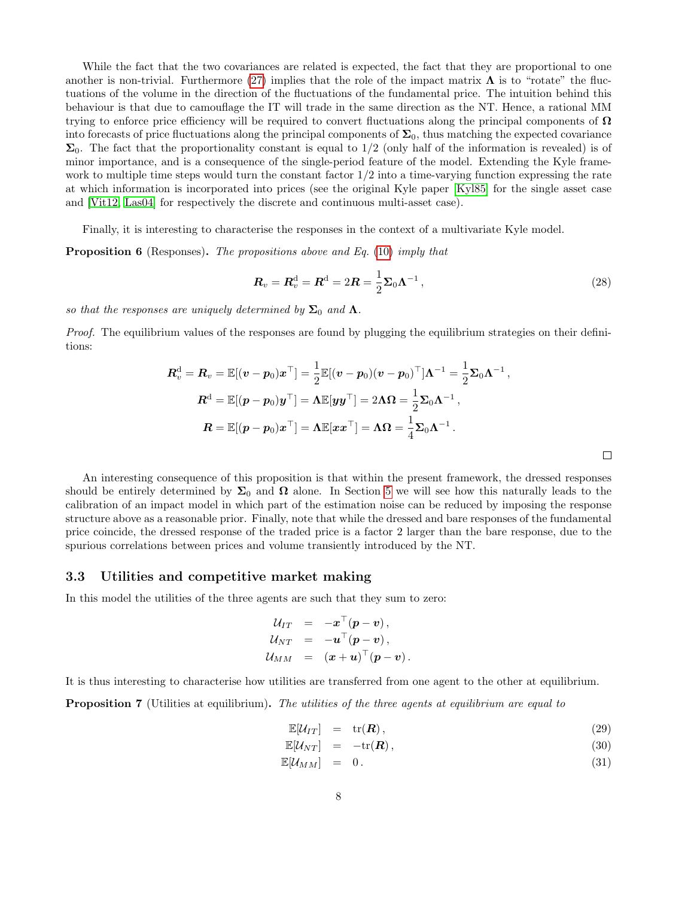While the fact that the two covariances are related is expected, the fact that they are proportional to one another is non-trivial. Furthermore [\(27\)](#page-6-4) implies that the role of the impact matrix  $\Lambda$  is to "rotate" the fluctuations of the volume in the direction of the fluctuations of the fundamental price. The intuition behind this behaviour is that due to camouflage the IT will trade in the same direction as the NT. Hence, a rational MM trying to enforce price efficiency will be required to convert fluctuations along the principal components of  $\Omega$ into forecasts of price fluctuations along the principal components of  $\Sigma_0$ , thus matching the expected covariance  $\Sigma_0$ . The fact that the proportionality constant is equal to  $1/2$  (only half of the information is revealed) is of minor importance, and is a consequence of the single-period feature of the model. Extending the Kyle framework to multiple time steps would turn the constant factor 1/2 into a time-varying function expressing the rate at which information is incorporated into prices (see the original Kyle paper [\[Kyl85\]](#page-23-5) for the single asset case and [\[Vit12,](#page-23-9) [Las04\]](#page-23-10) for respectively the discrete and continuous multi-asset case).

Finally, it is interesting to characterise the responses in the context of a multivariate Kyle model.

**Proposition 6** (Responses). The propositions above and Eq. [\(10\)](#page-3-1) imply that

<span id="page-7-2"></span>
$$
\boldsymbol{R}_v = \boldsymbol{R}_v^{\mathrm{d}} = \boldsymbol{R}^{\mathrm{d}} = 2\boldsymbol{R} = \frac{1}{2}\boldsymbol{\Sigma}_0\boldsymbol{\Lambda}^{-1},\tag{28}
$$

 $\Box$ 

so that the responses are uniquely determined by  $\Sigma_0$  and  $\Lambda$ .

Proof. The equilibrium values of the responses are found by plugging the equilibrium strategies on their definitions:

$$
\begin{aligned} \boldsymbol{R}_{v}^{\text{d}}=\boldsymbol{R}_{v}=\mathbb{E}[(\boldsymbol{v}-\boldsymbol{p}_{0})\boldsymbol{x}^{\top}]=\frac{1}{2}\mathbb{E}[(\boldsymbol{v}-\boldsymbol{p}_{0})(\boldsymbol{v}-\boldsymbol{p}_{0})^{\top}]\boldsymbol{\Lambda}^{-1}=\frac{1}{2}\boldsymbol{\Sigma}_{0}\boldsymbol{\Lambda}^{-1}\,,\\ \boldsymbol{R}^{\text{d}}=\mathbb{E}[(\boldsymbol{p}-\boldsymbol{p}_{0})\boldsymbol{y}^{\top}]=\boldsymbol{\Lambda}\mathbb{E}[\boldsymbol{y}\boldsymbol{y}^{\top}]=2\boldsymbol{\Lambda}\boldsymbol{\Omega}=\frac{1}{2}\boldsymbol{\Sigma}_{0}\boldsymbol{\Lambda}^{-1}\,,\\ \boldsymbol{R}=\mathbb{E}[(\boldsymbol{p}-\boldsymbol{p}_{0})\boldsymbol{x}^{\top}]=\boldsymbol{\Lambda}\mathbb{E}[\boldsymbol{x}\boldsymbol{x}^{\top}]=\boldsymbol{\Lambda}\boldsymbol{\Omega}=\frac{1}{4}\boldsymbol{\Sigma}_{0}\boldsymbol{\Lambda}^{-1}\,. \end{aligned}
$$

An interesting consequence of this proposition is that within the present framework, the dressed responses should be entirely determined by  $\Sigma_0$  and  $\Omega$  alone. In Section [5](#page-12-0) we will see how this naturally leads to the calibration of an impact model in which part of the estimation noise can be reduced by imposing the response structure above as a reasonable prior. Finally, note that while the dressed and bare responses of the fundamental price coincide, the dressed response of the traded price is a factor 2 larger than the bare response, due to the spurious correlations between prices and volume transiently introduced by the NT.

#### <span id="page-7-0"></span>3.3 Utilities and competitive market making

In this model the utilities of the three agents are such that they sum to zero:

$$
\begin{array}{rcl} \mathcal{U}_{IT} & = & -\boldsymbol{x}^\top (\boldsymbol{p} - \boldsymbol{v}) \, , \\ \mathcal{U}_{NT} & = & -\boldsymbol{u}^\top (\boldsymbol{p} - \boldsymbol{v}) \, , \\ \mathcal{U}_{MM} & = & (\boldsymbol{x} + \boldsymbol{u})^\top (\boldsymbol{p} - \boldsymbol{v}) \, . \end{array}
$$

It is thus interesting to characterise how utilities are transferred from one agent to the other at equilibrium.

<span id="page-7-1"></span>**Proposition 7** (Utilities at equilibrium). The utilities of the three agents at equilibrium are equal to

$$
\mathbb{E}[\mathcal{U}_{IT}] = \text{tr}(\boldsymbol{R}), \qquad (29)
$$

$$
\mathbb{E}[\mathcal{U}_{NT}] = -\mathrm{tr}(\boldsymbol{R}), \qquad (30)
$$

$$
\mathbb{E}[\mathcal{U}_{MM}] = 0. \tag{31}
$$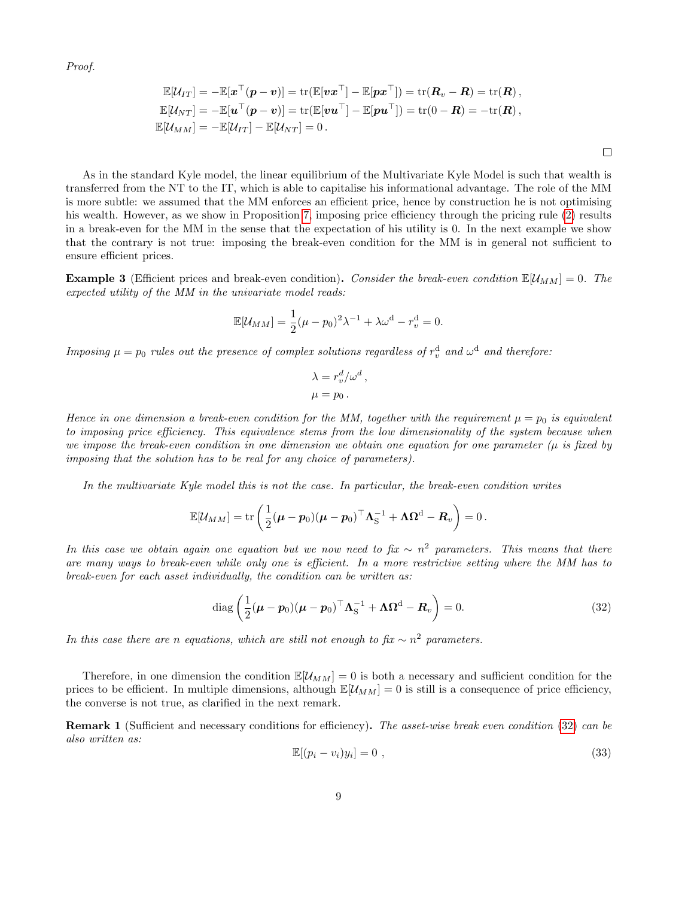Proof.

$$
\mathbb{E}[\mathcal{U}_{IT}] = -\mathbb{E}[\boldsymbol{x}^\top(\boldsymbol{p}-\boldsymbol{v})] = \text{tr}(\mathbb{E}[\boldsymbol{v}\boldsymbol{x}^\top] - \mathbb{E}[\boldsymbol{p}\boldsymbol{x}^\top]) = \text{tr}(\boldsymbol{R}_v - \boldsymbol{R}) = \text{tr}(\boldsymbol{R}),
$$
  
\n
$$
\mathbb{E}[\mathcal{U}_{NT}] = -\mathbb{E}[\boldsymbol{u}^\top(\boldsymbol{p}-\boldsymbol{v})] = \text{tr}(\mathbb{E}[\boldsymbol{v}\boldsymbol{u}^\top] - \mathbb{E}[\boldsymbol{p}\boldsymbol{u}^\top]) = \text{tr}(0 - \boldsymbol{R}) = -\text{tr}(\boldsymbol{R}),
$$
  
\n
$$
\mathbb{E}[\mathcal{U}_{MM}] = -\mathbb{E}[\mathcal{U}_{IT}] - \mathbb{E}[\mathcal{U}_{NT}] = 0.
$$

 $\Box$ 

As in the standard Kyle model, the linear equilibrium of the Multivariate Kyle Model is such that wealth is transferred from the NT to the IT, which is able to capitalise his informational advantage. The role of the MM is more subtle: we assumed that the MM enforces an efficient price, hence by construction he is not optimising his wealth. However, as we show in Proposition [7,](#page-7-1) imposing price efficiency through the pricing rule [\(2\)](#page-2-4) results in a break-even for the MM in the sense that the expectation of his utility is 0. In the next example we show that the contrary is not true: imposing the break-even condition for the MM is in general not sufficient to ensure efficient prices.

**Example 3** (Efficient prices and break-even condition). Consider the break-even condition  $\mathbb{E}[U_{MM}] = 0$ . The expected utility of the MM in the univariate model reads:

$$
\mathbb{E}[\mathcal{U}_{MM}] = \frac{1}{2}(\mu - p_0)^2 \lambda^{-1} + \lambda \omega^{\rm d} - r_v^{\rm d} = 0.
$$

Imposing  $\mu = p_0$  rules out the presence of complex solutions regardless of  $r_v^d$  and  $\omega^d$  and therefore:

$$
\lambda = r_v^d / \omega^d ,
$$
  

$$
\mu = p_0 .
$$

Hence in one dimension a break-even condition for the MM, together with the requirement  $\mu = p_0$  is equivalent to imposing price efficiency. This equivalence stems from the low dimensionality of the system because when we impose the break-even condition in one dimension we obtain one equation for one parameter  $(\mu)$  is fixed by imposing that the solution has to be real for any choice of parameters).

In the multivariate Kyle model this is not the case. In particular, the break-even condition writes

$$
\mathbb{E}[\mathcal{U}_{MM}] = \text{tr}\left(\frac{1}{2}(\boldsymbol{\mu} - \boldsymbol{p}_0)(\boldsymbol{\mu} - \boldsymbol{p}_0)^\top \boldsymbol{\Lambda}_{\mathrm{S}}^{-1} + \boldsymbol{\Lambda} \boldsymbol{\Omega}^{\mathrm{d}} - \boldsymbol{R}_v\right) = 0.
$$

In this case we obtain again one equation but we now need to fix  $\sim n^2$  parameters. This means that there are many ways to break-even while only one is efficient. In a more restrictive setting where the MM has to break-even for each asset individually, the condition can be written as:

<span id="page-8-0"></span>
$$
\operatorname{diag}\left(\frac{1}{2}(\boldsymbol{\mu} - \boldsymbol{p}_0)(\boldsymbol{\mu} - \boldsymbol{p}_0)^\top \boldsymbol{\Lambda}_\mathrm{S}^{-1} + \boldsymbol{\Lambda} \boldsymbol{\Omega}^\mathrm{d} - \boldsymbol{R}_v\right) = 0. \tag{32}
$$

In this case there are n equations, which are still not enough to fix  $\sim n^2$  parameters.

Therefore, in one dimension the condition  $\mathbb{E}[U_{MM}] = 0$  is both a necessary and sufficient condition for the prices to be efficient. In multiple dimensions, although  $\mathbb{E}[\mathcal{U}_{MM}] = 0$  is still is a consequence of price efficiency, the converse is not true, as clarified in the next remark.

Remark 1 (Sufficient and necessary conditions for efficiency). The asset-wise break even condition [\(32\)](#page-8-0) can be also written as:

<span id="page-8-1"></span>
$$
\mathbb{E}[(p_i - v_i)y_i] = 0 \t\t(33)
$$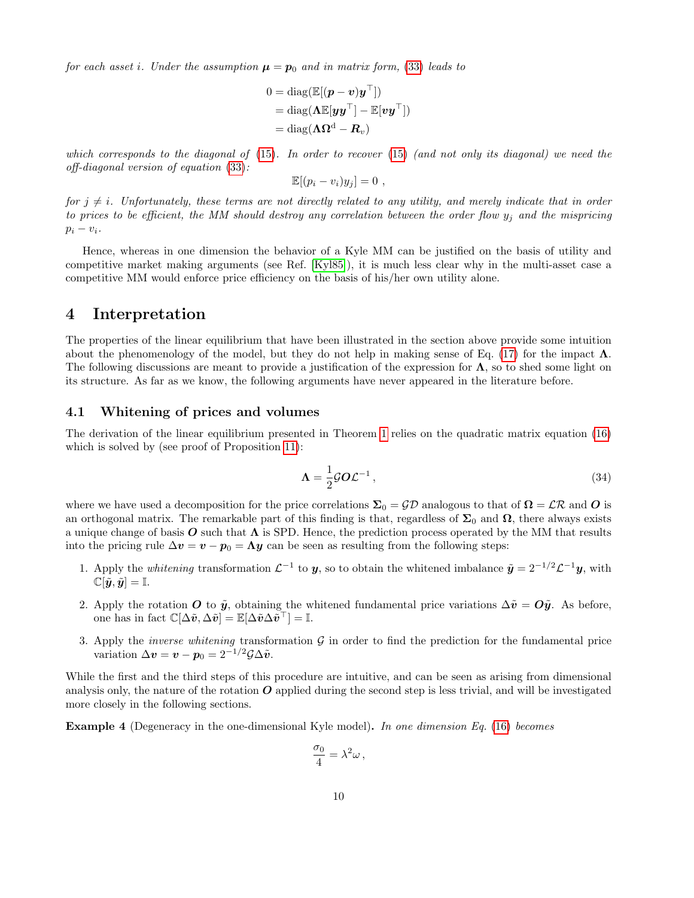for each asset i. Under the assumption  $\mu = p_0$  and in matrix form, [\(33\)](#page-8-1) leads to

$$
0 = \text{diag}(\mathbb{E}[(\boldsymbol{p} - \boldsymbol{v})\boldsymbol{y}^{\top}])
$$
  
= diag( $\Lambda \mathbb{E}[\boldsymbol{y}\boldsymbol{y}^{\top}] - \mathbb{E}[\boldsymbol{v}\boldsymbol{y}^{\top}])$   
= diag( $\Lambda \Omega^{\text{d}} - \boldsymbol{R}_v$ )

which corresponds to the diagonal of  $(15)$ . In order to recover  $(15)$  (and not only its diagonal) we need the off-diagonal version of equation [\(33\)](#page-8-1):

$$
\mathbb{E}[(p_i - v_i)y_j] = 0,
$$

for  $j \neq i$ . Unfortunately, these terms are not directly related to any utility, and merely indicate that in order to prices to be efficient, the MM should destroy any correlation between the order flow  $y_j$  and the mispricing  $p_i - v_i$ .

Hence, whereas in one dimension the behavior of a Kyle MM can be justified on the basis of utility and competitive market making arguments (see Ref. [\[Kyl85\]](#page-23-5)), it is much less clear why in the multi-asset case a competitive MM would enforce price efficiency on the basis of his/her own utility alone.

## <span id="page-9-0"></span>4 Interpretation

The properties of the linear equilibrium that have been illustrated in the section above provide some intuition about the phenomenology of the model, but they do not help in making sense of Eq. [\(17\)](#page-5-1) for the impact  $\Lambda$ . The following discussions are meant to provide a justification of the expression for  $\Lambda$ , so to shed some light on its structure. As far as we know, the following arguments have never appeared in the literature before.

#### <span id="page-9-1"></span>4.1 Whitening of prices and volumes

The derivation of the linear equilibrium presented in Theorem [1](#page-5-0) relies on the quadratic matrix equation [\(16\)](#page-4-5) which is solved by (see proof of Proposition [11\)](#page-26-3):

<span id="page-9-2"></span>
$$
\Lambda = \frac{1}{2} \mathcal{G} O \mathcal{L}^{-1} \,, \tag{34}
$$

where we have used a decomposition for the price correlations  $\Sigma_0 = \mathcal{GP}$  analogous to that of  $\Omega = \mathcal{LR}$  and O is an orthogonal matrix. The remarkable part of this finding is that, regardless of  $\Sigma_0$  and  $\Omega$ , there always exists a unique change of basis  $\bm{O}$  such that  $\bm{\Lambda}$  is SPD. Hence, the prediction process operated by the MM that results into the pricing rule  $\Delta v = v - p_0 = \Lambda y$  can be seen as resulting from the following steps:

- 1. Apply the *whitening* transformation  $\mathcal{L}^{-1}$  to y, so to obtain the whitened imbalance  $\tilde{y} = 2^{-1/2} \mathcal{L}^{-1} y$ , with  $\mathbb{C}[\tilde{\boldsymbol{y}}, \tilde{\boldsymbol{y}}] = \mathbb{I}.$
- 2. Apply the rotation O to  $\tilde{y}$ , obtaining the whitened fundamental price variations  $\Delta\tilde{v} = O\tilde{y}$ . As before, one has in fact  $\mathbb{C}[\Delta \tilde{v}, \Delta \tilde{v}] = \mathbb{E}[\Delta \tilde{v} \Delta \tilde{v}^\top] = \mathbb{I}.$
- 3. Apply the *inverse whitening* transformation  $G$  in order to find the prediction for the fundamental price variation  $\Delta v = v - p_0 = 2^{-1/2} \mathcal{G} \Delta \tilde{v}$ .

While the first and the third steps of this procedure are intuitive, and can be seen as arising from dimensional analysis only, the nature of the rotation  $O$  applied during the second step is less trivial, and will be investigated more closely in the following sections.

Example 4 (Degeneracy in the one-dimensional Kyle model). In one dimension Eq. [\(16\)](#page-4-5) becomes

$$
\frac{\sigma_0}{4} = \lambda^2 \omega \,,
$$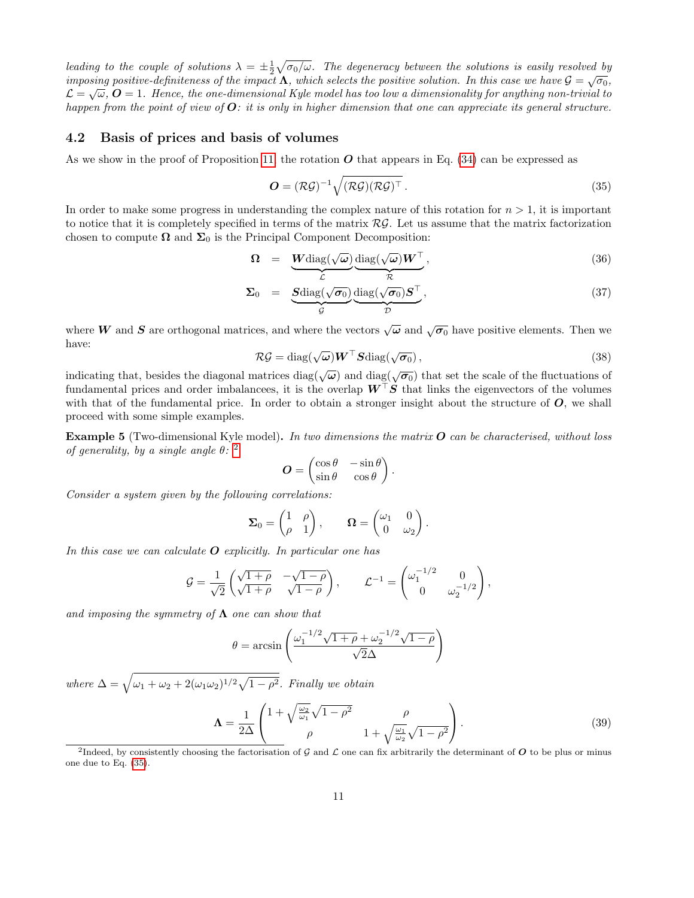leading to the couple of solutions  $\lambda = \pm \frac{1}{2} \sqrt{\sigma_0/\omega}$ . The degeneracy between the solutions is easily resolved by imposing positive-definiteness of the impact  $\Lambda$ , which selects the positive solution. In this case we have  $\mathcal{G} = \sqrt{\sigma_0}$ ,  $\mathcal{L}=\sqrt{\omega},\,\bm{O}=1.$  Hence, the one-dimensional Kyle model has too low a dimensionality for anything non-trivial to happen from the point of view of  $O:$  it is only in higher dimension that one can appreciate its general structure.

#### <span id="page-10-0"></span>4.2 Basis of prices and basis of volumes

As we show in the proof of Proposition [11,](#page-26-3) the rotation  $\boldsymbol{O}$  that appears in Eq. [\(34\)](#page-9-2) can be expressed as

<span id="page-10-2"></span>
$$
\mathbf{O} = (\mathcal{RG})^{-1} \sqrt{(\mathcal{RG})(\mathcal{RG})^{\top}}.
$$
\n(35)

In order to make some progress in understanding the complex nature of this rotation for  $n > 1$ , it is important to notice that it is completely specified in terms of the matrix  $\mathcal{RG}$ . Let us assume that the matrix factorization chosen to compute  $\Omega$  and  $\Sigma_0$  is the Principal Component Decomposition:

$$
\Omega = \underbrace{W \text{diag}(\sqrt{\omega})}_{\mathcal{L}} \underbrace{\text{diag}(\sqrt{\omega}) W^{\top}}_{\mathcal{R}}, \qquad (36)
$$

$$
\Sigma_0 = \underbrace{\text{Sdiag}(\sqrt{\sigma_0})}_{\mathcal{G}} \underbrace{\text{diag}(\sqrt{\sigma_0}) \mathbf{S}^\top}_{\mathcal{D}}, \qquad (37)
$$

where W and S are orthogonal matrices, and where the vectors  $\sqrt{\omega}$  and  $\sqrt{\sigma_0}$  have positive elements. Then we have:

$$
\mathcal{RG} = \text{diag}(\sqrt{\omega}) \boldsymbol{W}^{\top} \boldsymbol{S} \text{diag}(\sqrt{\sigma_0}), \qquad (38)
$$

indicating that, besides the diagonal matrices diag( $\sqrt{\omega}$ ) and diag( $\sqrt{\sigma_0}$ ) that set the scale of the fluctuations of fundamental prices and order imbalancees, it is the overlap  $W^{\top}S$  that links the eigenvectors of the volumes with that of the fundamental price. In order to obtain a stronger insight about the structure of  $O$ , we shall proceed with some simple examples.

<span id="page-10-3"></span>**Example 5** (Two-dimensional Kyle model). In two dimensions the matrix  $O$  can be characterised, without loss of generality, by a single angle  $\theta$ : <sup>[2](#page-10-1)</sup>

$$
\boldsymbol{O} = \begin{pmatrix} \cos \theta & -\sin \theta \\ \sin \theta & \cos \theta \end{pmatrix}.
$$

Consider a system given by the following correlations:

$$
\Sigma_0 = \begin{pmatrix} 1 & \rho \\ \rho & 1 \end{pmatrix}, \qquad \mathbf{\Omega} = \begin{pmatrix} \omega_1 & 0 \\ 0 & \omega_2 \end{pmatrix}.
$$

In this case we can calculate  $O$  explicitly. In particular one has

$$
\mathcal{G} = \frac{1}{\sqrt{2}} \begin{pmatrix} \sqrt{1+\rho} & -\sqrt{1-\rho} \\ \sqrt{1+\rho} & \sqrt{1-\rho} \end{pmatrix}, \qquad \mathcal{L}^{-1} = \begin{pmatrix} \omega_1^{-1/2} & 0 \\ 0 & \omega_2^{-1/2} \end{pmatrix},
$$

and imposing the symmetry of  $\Lambda$  one can show that

$$
\theta = \arcsin\left(\frac{\omega_1^{-1/2}\sqrt{1+\rho} + \omega_2^{-1/2}\sqrt{1-\rho}}{\sqrt{2}\Delta}\right)
$$

where  $\Delta = \sqrt{\omega_1 + \omega_2 + 2(\omega_1\omega_2)^{1/2}\sqrt{1-\rho^2}}$ . Finally we obtain

<span id="page-10-4"></span>
$$
\Lambda = \frac{1}{2\Delta} \begin{pmatrix} 1 + \sqrt{\frac{\omega_2}{\omega_1}} \sqrt{1 - \rho^2} & \rho \\ \rho & 1 + \sqrt{\frac{\omega_1}{\omega_2}} \sqrt{1 - \rho^2} \end{pmatrix} . \tag{39}
$$

<span id="page-10-1"></span><sup>2</sup>Indeed, by consistently choosing the factorisation of G and L one can fix arbitrarily the determinant of O to be plus or minus one due to Eq. [\(35\)](#page-10-2).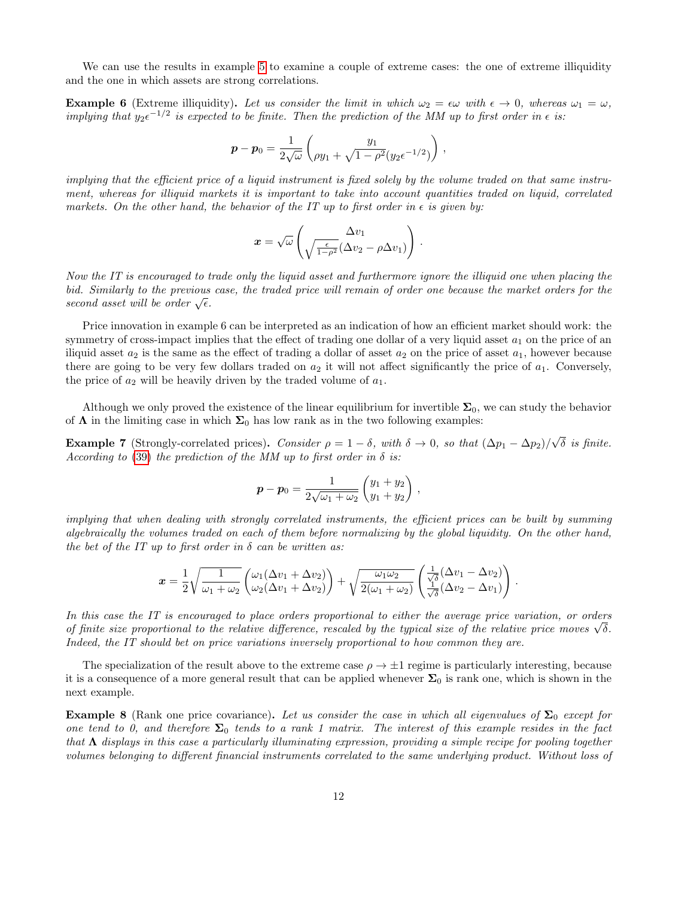We can use the results in example [5](#page-10-3) to examine a couple of extreme cases: the one of extreme illiquidity and the one in which assets are strong correlations.

<span id="page-11-1"></span>**Example 6** (Extreme illiquidity). Let us consider the limit in which  $\omega_2 = \epsilon \omega$  with  $\epsilon \to 0$ , whereas  $\omega_1 = \omega$ . implying that  $y_2 \epsilon^{-1/2}$  is expected to be finite. Then the prediction of the MM up to first order in  $\epsilon$  is:

$$
\boldsymbol{p} - \boldsymbol{p}_0 = \frac{1}{2\sqrt{\omega}} \begin{pmatrix} y_1 \\ \rho y_1 + \sqrt{1 - \rho^2} (y_2 \epsilon^{-1/2}) \end{pmatrix},
$$

implying that the efficient price of a liquid instrument is fixed solely by the volume traded on that same instrument, whereas for illiquid markets it is important to take into account quantities traded on liquid, correlated markets. On the other hand, the behavior of the IT up to first order in  $\epsilon$  is given by:

$$
\boldsymbol{x} = \sqrt{\omega} \left( \frac{\Delta v_1}{\sqrt{\frac{\epsilon}{1-\rho^2}} (\Delta v_2 - \rho \Delta v_1)} \right).
$$

Now the IT is encouraged to trade only the liquid asset and furthermore ignore the illiquid one when placing the bid. Similarly to the previous case, the traded price will remain of order one because the market orders for the *oud.* Symmarty to the previous second asset will be order  $\sqrt{\epsilon}$ .

Price innovation in example 6 can be interpreted as an indication of how an efficient market should work: the symmetry of cross-impact implies that the effect of trading one dollar of a very liquid asset  $a_1$  on the price of an iliquid asset  $a_2$  is the same as the effect of trading a dollar of asset  $a_2$  on the price of asset  $a_1$ , however because there are going to be very few dollars traded on  $a_2$  it will not affect significantly the price of  $a_1$ . Conversely, the price of  $a_2$  will be heavily driven by the traded volume of  $a_1$ .

Although we only proved the existence of the linear equilibrium for invertible  $\Sigma_0$ , we can study the behavior of  $\Lambda$  in the limiting case in which  $\Sigma_0$  has low rank as in the two following examples:

<span id="page-11-2"></span>**Example 7** (Strongly-correlated prices). Consider  $\rho = 1 - \delta$ , with  $\delta \to 0$ , so that  $(\Delta p_1 - \Delta p_2)$ √  $\delta$  is finite. According to [\(39\)](#page-10-4) the prediction of the MM up to first order in  $\delta$  is:

$$
\boldsymbol{p} - \boldsymbol{p}_0 = \frac{1}{2\sqrt{\omega_1 + \omega_2}} \begin{pmatrix} y_1 + y_2 \\ y_1 + y_2 \end{pmatrix} ,
$$

implying that when dealing with strongly correlated instruments, the efficient prices can be built by summing algebraically the volumes traded on each of them before normalizing by the global liquidity. On the other hand, the bet of the IT up to first order in  $\delta$  can be written as:

$$
\boldsymbol{x} = \frac{1}{2} \sqrt{\frac{1}{\omega_1 + \omega_2}} \begin{pmatrix} \omega_1(\Delta v_1 + \Delta v_2) \\ \omega_2(\Delta v_1 + \Delta v_2) \end{pmatrix} + \sqrt{\frac{\omega_1 \omega_2}{2(\omega_1 + \omega_2)}} \begin{pmatrix} \frac{1}{\sqrt{6}}(\Delta v_1 - \Delta v_2) \\ \frac{1}{\sqrt{6}}(\Delta v_2 - \Delta v_1) \end{pmatrix}.
$$

In this case the IT is encouraged to place orders proportional to either the average price variation, or orders In this case the 11 is encouraged to place orders proportional to either the average price variation, or orders<br>of finite size proportional to the relative difference, rescaled by the typical size of the relative price mo Indeed, the IT should bet on price variations inversely proportional to how common they are.

The specialization of the result above to the extreme case  $\rho \to \pm 1$  regime is particularly interesting, because it is a consequence of a more general result that can be applied whenever  $\Sigma_0$  is rank one, which is shown in the next example.

<span id="page-11-0"></span>**Example 8** (Rank one price covariance). Let us consider the case in which all eigenvalues of  $\Sigma_0$  except for one tend to 0, and therefore  $\Sigma_0$  tends to a rank 1 matrix. The interest of this example resides in the fact that  $\Lambda$  displays in this case a particularly illuminating expression, providing a simple recipe for pooling together volumes belonging to different financial instruments correlated to the same underlying product. Without loss of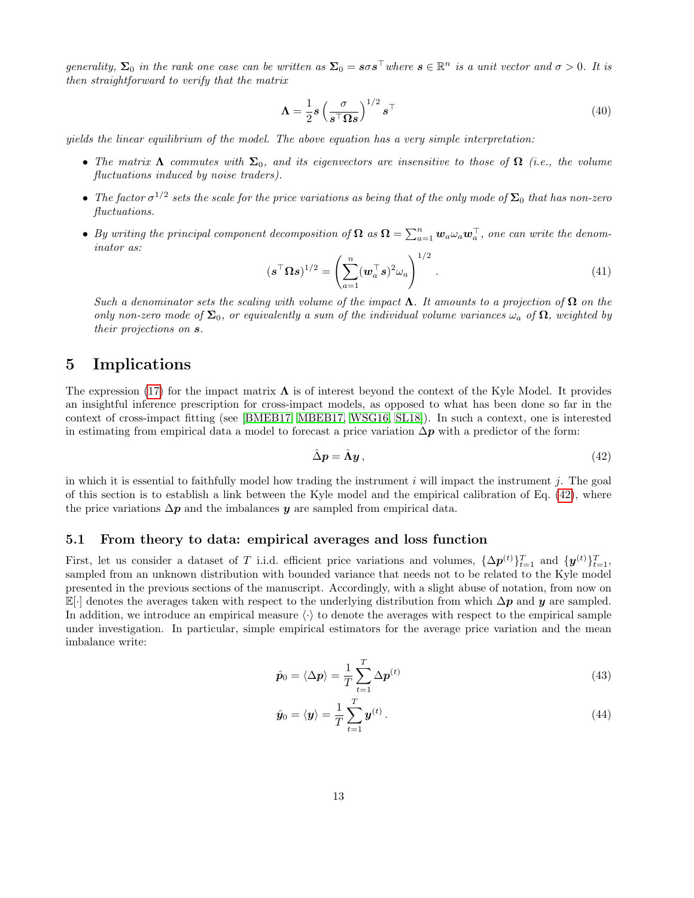generality,  $\Sigma_0$  in the rank one case can be written as  $\Sigma_0 = s\sigma s^\top$  where  $s \in \mathbb{R}^n$  is a unit vector and  $\sigma > 0$ . It is then straightforward to verify that the matrix

$$
\Lambda = \frac{1}{2} s \left( \frac{\sigma}{s^{\top} \Omega s} \right)^{1/2} s^{\top}
$$
\n(40)

yields the linear equilibrium of the model. The above equation has a very simple interpretation:

- The matrix  $\Lambda$  commutes with  $\Sigma_0$ , and its eigenvectors are insensitive to those of  $\Omega$  (i.e., the volume fluctuations induced by noise traders).
- The factor  $\sigma^{1/2}$  sets the scale for the price variations as being that of the only mode of  $\mathbf{\Sigma}_0$  that has non-zero fluctuations.
- By writing the principal component decomposition of  $\Omega$  as  $\Omega = \sum_{a=1}^{n} w_a \omega_a w_a^{\top}$ , one can write the denominator as:

$$
(\boldsymbol{s}^\top \boldsymbol{\Omega} \boldsymbol{s})^{1/2} = \left(\sum_{a=1}^n (\boldsymbol{w}_a^\top \boldsymbol{s})^2 \omega_a\right)^{1/2}.
$$
 (41)

Such a denominator sets the scaling with volume of the impact  $\Lambda$ . It amounts to a projection of  $\Omega$  on the only non-zero mode of  $\Sigma_0$ , or equivalently a sum of the individual volume variances  $\omega_a$  of  $\Omega$ , weighted by their projections on s.

# <span id="page-12-0"></span>5 Implications

The expression [\(17\)](#page-5-1) for the impact matrix  $\Lambda$  is of interest beyond the context of the Kyle Model. It provides an insightful inference prescription for cross-impact models, as opposed to what has been done so far in the context of cross-impact fitting (see [\[BMEB17,](#page-23-4) [MBEB17,](#page-23-7) [WSG16,](#page-23-3) [SL18\]](#page-23-11)). In such a context, one is interested in estimating from empirical data a model to forecast a price variation  $\Delta p$  with a predictor of the form:

<span id="page-12-2"></span>
$$
\hat{\Delta}p = \hat{\Lambda}y, \qquad (42)
$$

in which it is essential to faithfully model how trading the instrument i will impact the instrument j. The goal of this section is to establish a link between the Kyle model and the empirical calibration of Eq. [\(42\)](#page-12-2), where the price variations  $\Delta p$  and the imbalances y are sampled from empirical data.

## <span id="page-12-1"></span>5.1 From theory to data: empirical averages and loss function

First, let us consider a dataset of T i.i.d. efficient price variations and volumes,  $\{\Delta p^{(t)}\}_{t=1}^T$  and  $\{y^{(t)}\}_{t=1}^T$ , sampled from an unknown distribution with bounded variance that needs not to be related to the Kyle model presented in the previous sections of the manuscript. Accordingly, with a slight abuse of notation, from now on  $\mathbb{E}[\cdot]$  denotes the averages taken with respect to the underlying distribution from which  $\Delta p$  and y are sampled. In addition, we introduce an empirical measure  $\langle \cdot \rangle$  to denote the averages with respect to the empirical sample under investigation. In particular, simple empirical estimators for the average price variation and the mean imbalance write:

$$
\hat{\mathbf{p}}_0 = \langle \Delta \mathbf{p} \rangle = \frac{1}{T} \sum_{t=1}^T \Delta \mathbf{p}^{(t)} \tag{43}
$$

$$
\hat{\mathbf{y}}_0 = \langle \mathbf{y} \rangle = \frac{1}{T} \sum_{t=1}^T \mathbf{y}^{(t)} \,. \tag{44}
$$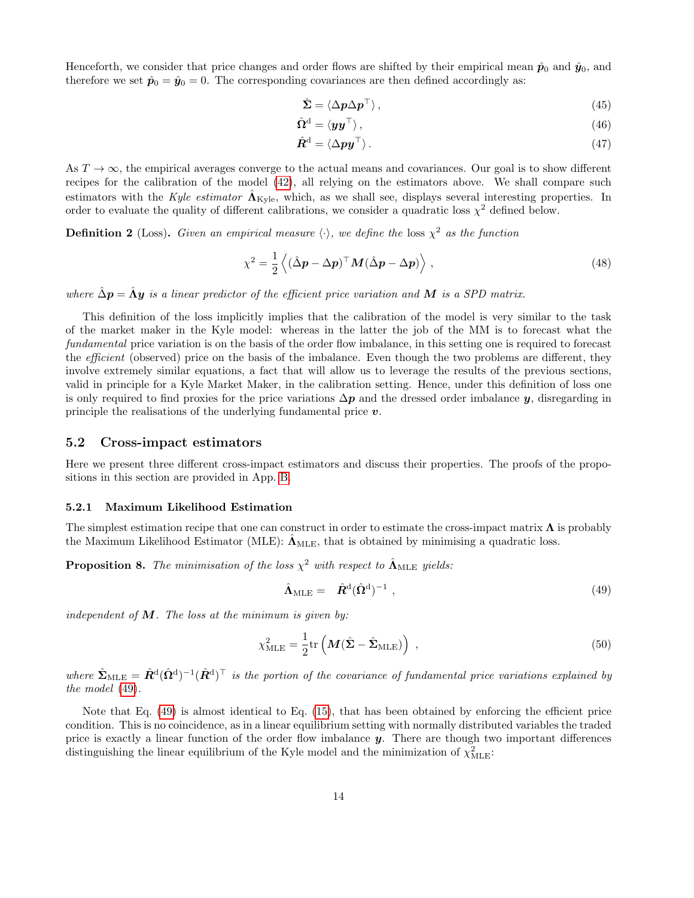Henceforth, we consider that price changes and order flows are shifted by their empirical mean  $\hat{p}_0$  and  $\hat{y}_0$ , and therefore we set  $\hat{\mathbf{p}}_0 = \hat{\mathbf{y}}_0 = 0$ . The corresponding covariances are then defined accordingly as:

$$
\hat{\Sigma} = \langle \Delta p \Delta p^{\top} \rangle, \tag{45}
$$

$$
\hat{\Omega}^{\mathbf{d}} = \langle \mathbf{y} \mathbf{y}^{\top} \rangle, \tag{46}
$$

$$
\hat{\mathbf{R}}^{\mathbf{d}} = \langle \Delta \mathbf{p} \mathbf{y}^{\top} \rangle. \tag{47}
$$

As  $T \to \infty$ , the empirical averages converge to the actual means and covariances. Our goal is to show different recipes for the calibration of the model [\(42\)](#page-12-2), all relying on the estimators above. We shall compare such estimators with the Kyle estimator  $\Lambda_{\text{Kyle}}$ , which, as we shall see, displays several interesting properties. In order to evaluate the quality of different calibrations, we consider a quadratic loss  $\chi^2$  defined below.

**Definition 2** (Loss). Given an empirical measure  $\langle \cdot \rangle$ , we define the loss  $\chi^2$  as the function

<span id="page-13-3"></span>
$$
\chi^2 = \frac{1}{2} \left\langle (\hat{\Delta} \mathbf{p} - \Delta \mathbf{p})^{\top} \mathbf{M} (\hat{\Delta} \mathbf{p} - \Delta \mathbf{p}) \right\rangle, \tag{48}
$$

where  $\hat{\Delta}p = \hat{\Lambda}y$  is a linear predictor of the efficient price variation and M is a SPD matrix.

This definition of the loss implicitly implies that the calibration of the model is very similar to the task of the market maker in the Kyle model: whereas in the latter the job of the MM is to forecast what the fundamental price variation is on the basis of the order flow imbalance, in this setting one is required to forecast the efficient (observed) price on the basis of the imbalance. Even though the two problems are different, they involve extremely similar equations, a fact that will allow us to leverage the results of the previous sections, valid in principle for a Kyle Market Maker, in the calibration setting. Hence, under this definition of loss one is only required to find proxies for the price variations  $\Delta p$  and the dressed order imbalance y, disregarding in principle the realisations of the underlying fundamental price  $v$ .

#### <span id="page-13-0"></span>5.2 Cross-impact estimators

Here we present three different cross-impact estimators and discuss their properties. The proofs of the propositions in this section are provided in App. [B.](#page-26-1)

#### <span id="page-13-1"></span>5.2.1 Maximum Likelihood Estimation

The simplest estimation recipe that one can construct in order to estimate the cross-impact matrix  $\Lambda$  is probably the Maximum Likelihood Estimator (MLE):  $\Lambda_{MLE}$ , that is obtained by minimising a quadratic loss.

<span id="page-13-4"></span>**Proposition 8.** The minimisation of the loss  $\chi^2$  with respect to  $\hat{\mathbf{\Lambda}}_{\text{MLE}}$  yields:

<span id="page-13-2"></span>
$$
\hat{\mathbf{\Lambda}}_{MLE} = \hat{\mathbf{R}}^{\mathrm{d}} (\hat{\mathbf{\Omega}}^{\mathrm{d}})^{-1} \tag{49}
$$

independent of  $M$ . The loss at the minimum is given by:

$$
\chi_{\rm MLE}^2 = \frac{1}{2} \text{tr} \left( \mathbf{M} (\hat{\mathbf{\Sigma}} - \hat{\mathbf{\Sigma}}_{\rm MLE}) \right) \tag{50}
$$

where  $\hat{\mathbf{\Sigma}}_{\text{MLE}} = \hat{\mathbf{R}}^{\text{d}}(\hat{\mathbf{\Omega}}^{\text{d}})^{-1}(\hat{\mathbf{R}}^{\text{d}})^{\top}$  is the portion of the covariance of fundamental price variations explained by the model [\(49\)](#page-13-2).

Note that Eq. [\(49\)](#page-13-2) is almost identical to Eq. [\(15\)](#page-4-4), that has been obtained by enforcing the efficient price condition. This is no coincidence, as in a linear equilibrium setting with normally distributed variables the traded price is exactly a linear function of the order flow imbalance  $y$ . There are though two important differences distinguishing the linear equilibrium of the Kyle model and the minimization of  $\chi^2_{\rm MLE}$ :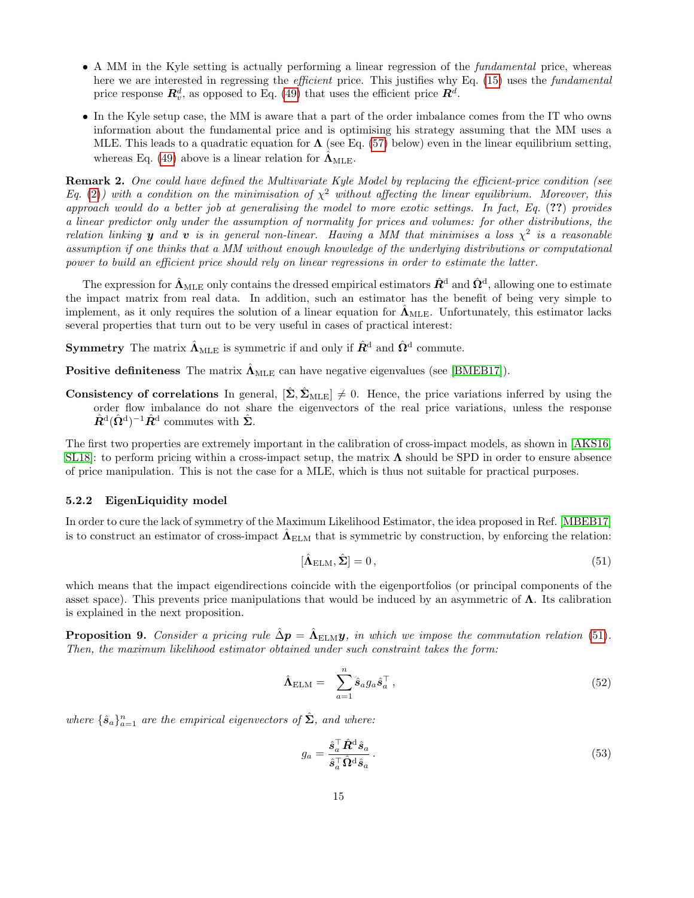- A MM in the Kyle setting is actually performing a linear regression of the fundamental price, whereas here we are interested in regressing the *efficient* price. This justifies why Eq. [\(15\)](#page-4-4) uses the *fundamental* price response  $\mathbb{R}^d_v$ , as opposed to Eq. [\(49\)](#page-13-2) that uses the efficient price  $\mathbb{R}^d$ .
- In the Kyle setup case, the MM is aware that a part of the order imbalance comes from the IT who owns information about the fundamental price and is optimising his strategy assuming that the MM uses a MLE. This leads to a quadratic equation for  $\Lambda$  (see Eq. [\(57\)](#page-15-1) below) even in the linear equilibrium setting, whereas Eq. [\(49\)](#page-13-2) above is a linear relation for  $\hat{\mathbf{\Lambda}}_{\text{MLE}}$ .

Remark 2. One could have defined the Multivariate Kyle Model by replacing the efficient-price condition (see Eq. [\(2\)](#page-2-4)) with a condition on the minimisation of  $\chi^2$  without affecting the linear equilibrium. Moreover, this approach would do a better job at generalising the model to more exotic settings. In fact, Eq. (??) provides a linear predictor only under the assumption of normality for prices and volumes: for other distributions, the relation linking **y** and **v** is in general non-linear. Having a MM that minimises a loss  $\chi^2$  is a reasonable assumption if one thinks that a MM without enough knowledge of the underlying distributions or computational power to build an efficient price should rely on linear regressions in order to estimate the latter.

The expression for  $\hat{\bf\Lambda}_{\rm MLE}$  only contains the dressed empirical estimators  $\hat{\bf R}^{\rm d}$  and  $\hat{\bf \Omega}^{\rm d}$ , allowing one to estimate the impact matrix from real data. In addition, such an estimator has the benefit of being very simple to implement, as it only requires the solution of a linear equation for  $\hat{\Lambda}_{MLE}$ . Unfortunately, this estimator lacks several properties that turn out to be very useful in cases of practical interest:

Symmetry The matrix  $\hat{\bf{\Lambda}}_{\rm MLE}$  is symmetric if and only if  $\hat{R}^{\rm d}$  and  $\hat{\bf{\Omega}}^{\rm d}$  commute.

**Positive definiteness** The matrix  $\hat{\Lambda}_{MLE}$  can have negative eigenvalues (see [\[BMEB17\]](#page-23-4)).

Consistency of correlations In general,  $[\hat{\Sigma}, \hat{\Sigma}_{MLE}] \neq 0$ . Hence, the price variations inferred by using the order flow imbalance do not share the eigenvectors of the real price variations, unless the response  $\hat{R}^{\mathrm{d}}(\hat{\Omega}^{\mathrm{d}})^{-1}\hat{R}^{\mathrm{d}}$  commutes with  $\hat{\Sigma}$ .

The first two properties are extremely important in the calibration of cross-impact models, as shown in [\[AKS16,](#page-23-12) [SL18\]](#page-23-11): to perform pricing within a cross-impact setup, the matrix  $\Lambda$  should be SPD in order to ensure absence of price manipulation. This is not the case for a MLE, which is thus not suitable for practical purposes.

#### <span id="page-14-0"></span>5.2.2 EigenLiquidity model

In order to cure the lack of symmetry of the Maximum Likelihood Estimator, the idea proposed in Ref. [\[MBEB17\]](#page-23-7) is to construct an estimator of cross-impact  $\hat{\Lambda}_{\rm ELM}$  that is symmetric by construction, by enforcing the relation:

<span id="page-14-1"></span>
$$
[\hat{\Lambda}_{\text{ELM}}, \hat{\Sigma}] = 0, \tag{51}
$$

which means that the impact eigendirections coincide with the eigenportfolios (or principal components of the asset space). This prevents price manipulations that would be induced by an asymmetric of  $\Lambda$ . Its calibration is explained in the next proposition.

<span id="page-14-2"></span>**Proposition 9.** Consider a pricing rule  $\hat{\Delta}p = \hat{\Lambda}_{\text{ELM}}y$ , in which we impose the commutation relation [\(51\)](#page-14-1). Then, the maximum likelihood estimator obtained under such constraint takes the form:

$$
\hat{\Lambda}_{\text{ELM}} = \sum_{a=1}^{n} \hat{s}_a g_a \hat{s}_a^{\top}, \qquad (52)
$$

where  $\{\hat{\bm{s}}_a\}_{a=1}^n$  are the empirical eigenvectors of  $\hat{\bm{\Sigma}}$ , and where:

$$
g_a = \frac{\hat{s}_a^{\top} \hat{R}^{\mathbf{d}} \hat{s}_a}{\hat{s}_a^{\top} \hat{\Omega}^{\mathbf{d}} \hat{s}_a}.
$$
\n
$$
(53)
$$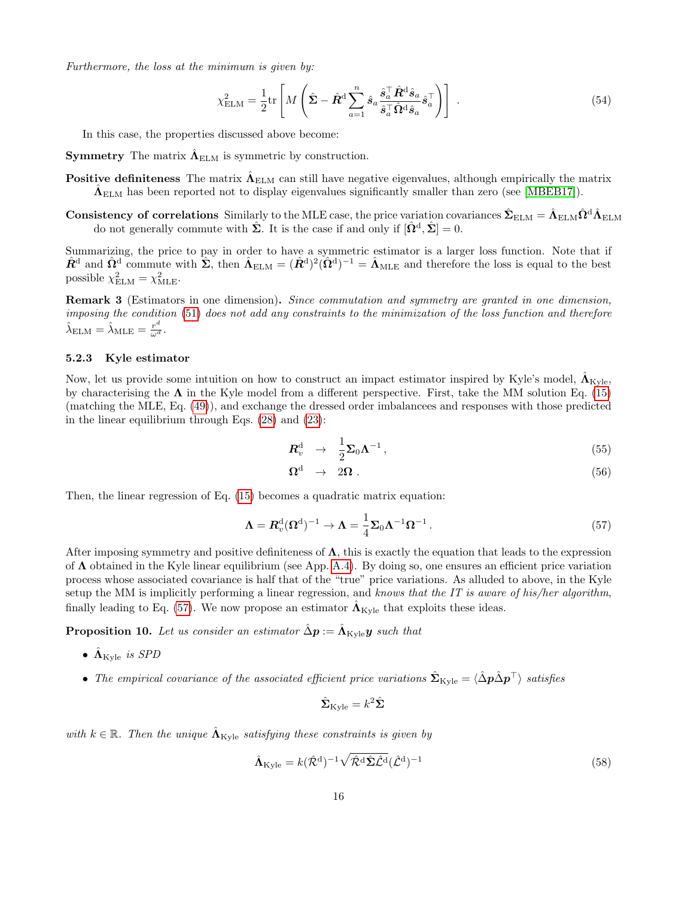Furthermore, the loss at the minimum is given by:

$$
\chi_{\text{ELM}}^2 = \frac{1}{2} \text{tr} \left[ M \left( \hat{\Sigma} - \hat{R}^{\text{d}} \sum_{a=1}^n \hat{s}_a \frac{\hat{s}_a^\top \hat{R}^{\text{d}} \hat{s}_a}{\hat{s}_a^\top \hat{\Omega}^{\text{d}} \hat{s}_a} \hat{s}_a^\top \right) \right] \tag{54}
$$

In this case, the properties discussed above become:

**Symmetry** The matrix  $\hat{\Lambda}_{\text{ELM}}$  is symmetric by construction.

Positive definiteness The matrix  $\hat{\Lambda}_{\rm ELM}$  can still have negative eigenvalues, although empirically the matrix  $\hat{\Lambda}_{\text{ELM}}$  has been reported not to display eigenvalues significantly smaller than zero (see [\[MBEB17\]](#page-23-7)).

 ${\rm Consistency}$  of correlations  $\rm Similary$  to the MLE case, the price variation covariances  $\hat{\bf \Sigma}_{\rm ELM}=\hat{\bf \Lambda}_{\rm ELM} \hat{\bf \Omega}^{\rm d} \hat{\bf \Lambda}_{\rm ELM}$ do not generally commute with  $\hat{\Sigma}$ . It is the case if and only if  $[\hat{\Omega}^d, \hat{\Sigma}] = 0$ .

Summarizing, the price to pay in order to have a symmetric estimator is a larger loss function. Note that if  $\hat{R}^{\text{d}}$  and  $\hat{\Omega}^{\text{d}}$  commute with  $\hat{\Sigma}$ , then  $\hat{\Lambda}_{\text{ELM}} = (\hat{R}^{\text{d}})^2(\hat{\Omega}^{\text{d}})^{-1} = \hat{\Lambda}_{\text{MLE}}$  and therefore the loss is equal to the best possible  $\chi^2_{\text{ELM}} = \chi^2_{\text{MLE}}$ .

Remark 3 (Estimators in one dimension). Since commutation and symmetry are granted in one dimension, imposing the condition [\(51\)](#page-14-1) does not add any constraints to the minimization of the loss function and therefore  $\hat{\lambda}_{\text{ELM}} = \hat{\lambda}_{\text{MLE}} = \frac{r^d}{\omega^d}.$ 

## <span id="page-15-0"></span>5.2.3 Kyle estimator

Now, let us provide some intuition on how to construct an impact estimator inspired by Kyle's model,  $\hat{\Lambda}_{\rm Kyle}$ by characterising the  $\Lambda$  in the Kyle model from a different perspective. First, take the MM solution Eq. [\(15\)](#page-4-4) (matching the MLE, Eq. [\(49\)](#page-13-2)), and exchange the dressed order imbalancees and responses with those predicted in the linear equilibrium through Eqs. [\(28\)](#page-7-2) and [\(23\)](#page-6-5):

$$
\boldsymbol{R}_v^{\mathrm{d}} \rightarrow \frac{1}{2} \boldsymbol{\Sigma}_0 \boldsymbol{\Lambda}^{-1} \,, \tag{55}
$$

$$
\Omega^{\rm d} \rightarrow 2\Omega \ . \tag{56}
$$

Then, the linear regression of Eq. [\(15\)](#page-4-4) becomes a quadratic matrix equation:

<span id="page-15-1"></span>
$$
\Lambda = R_v^{\mathrm{d}}(\Omega^{\mathrm{d}})^{-1} \to \Lambda = \frac{1}{4} \Sigma_0 \Lambda^{-1} \Omega^{-1} . \tag{57}
$$

After imposing symmetry and positive definiteness of  $\Lambda$ , this is exactly the equation that leads to the expression of  $\Lambda$  obtained in the Kyle linear equilibrium (see App. [A.4\)](#page-26-0). By doing so, one ensures an efficient price variation process whose associated covariance is half that of the "true" price variations. As alluded to above, in the Kyle setup the MM is implicitly performing a linear regression, and knows that the IT is aware of his/her algorithm, finally leading to Eq. [\(57\)](#page-15-1). We now propose an estimator  $\Lambda_{\text{Kvle}}$  that exploits these ideas.

<span id="page-15-2"></span>**Proposition 10.** Let us consider an estimator  $\hat{\Delta}p := \hat{\Lambda}_{\text{Kyle}}y$  such that

- $\hat{\Lambda}_{\text{Kvle}}$  is SPD
- The empirical covariance of the associated efficient price variations  $\hat{\Sigma}_{\text{Kyle}} = \langle \hat{\Delta} \hat{\mathbf{p}} \hat{\Delta} \hat{\mathbf{p}}^{\top} \rangle$  satisfies

$$
\hat{\mathbf{\Sigma}}_{\rm Kyle} = k^2 \hat{\mathbf{\Sigma}}
$$

with  $k \in \mathbb{R}$ . Then the unique  $\Lambda_{\text{Kyle}}$  satisfying these constraints is given by

<span id="page-15-3"></span>
$$
\hat{\Lambda}_{\text{Kyle}} = k(\hat{\mathcal{R}}^{\text{d}})^{-1} \sqrt{\hat{\mathcal{R}}^{\text{d}} \hat{\Sigma} \hat{\mathcal{L}}^{\text{d}}} (\hat{\mathcal{L}}^{\text{d}})^{-1} \tag{58}
$$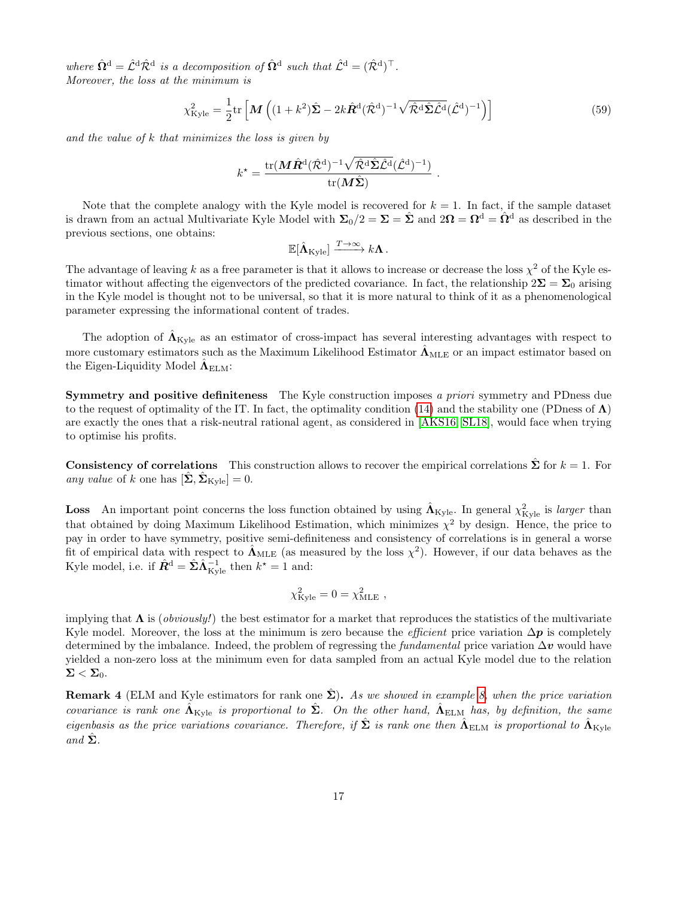where  $\hat{\Omega}^{\text{d}} = \hat{\mathcal{L}}^{\text{d}} \hat{\mathcal{R}}^{\text{d}}$  is a decomposition of  $\hat{\Omega}^{\text{d}}$  such that  $\hat{\mathcal{L}}^{\text{d}} = (\hat{\mathcal{R}}^{\text{d}})^{\top}$ . Moreover, the loss at the minimum is

$$
\chi_{\text{Kyle}}^2 = \frac{1}{2} \text{tr} \left[ \mathbf{M} \left( (1+k^2) \hat{\mathbf{\Sigma}} - 2k \hat{\mathbf{R}}^{\text{d}} (\hat{\mathcal{R}}^{\text{d}})^{-1} \sqrt{\hat{\mathcal{R}}^{\text{d}} \hat{\mathbf{\Sigma}} \hat{\mathcal{L}}^{\text{d}}} (\hat{\mathcal{L}}^{\text{d}})^{-1} \right) \right]
$$
(59)

and the value of k that minimizes the loss is given by

$$
k^\star = \frac{\mathrm{tr}(\boldsymbol{M}\hat{\boldsymbol{R}}^\mathrm{d} (\hat{\mathcal{R}}^\mathrm{d})^{-1} \sqrt{\hat{\mathcal{R}}^\mathrm{d} \hat{\boldsymbol{\Sigma}} \hat{\mathcal{L}}^\mathrm{d}} (\hat{\mathcal{L}}^\mathrm{d})^{-1})}{\mathrm{tr}(\boldsymbol{M}\hat{\boldsymbol{\Sigma}})}\ .
$$

Note that the complete analogy with the Kyle model is recovered for  $k = 1$ . In fact, if the sample dataset is drawn from an actual Multivariate Kyle Model with  $\Sigma_0/2 = \Sigma = \hat{\Sigma}$  and  $2\Omega = \Omega^d = \hat{\Omega}^d$  as described in the previous sections, one obtains:

$$
\mathbb{E}[\hat{\mathbf{\Lambda}}_{\mathrm{Kyle}}] \xrightarrow{T \to \infty} k \mathbf{\Lambda}.
$$

The advantage of leaving k as a free parameter is that it allows to increase or decrease the loss  $\chi^2$  of the Kyle estimator without affecting the eigenvectors of the predicted covariance. In fact, the relationship  $2\Sigma = \Sigma_0$  arising in the Kyle model is thought not to be universal, so that it is more natural to think of it as a phenomenological parameter expressing the informational content of trades.

The adoption of  $\Lambda_{\text{Kyle}}$  as an estimator of cross-impact has several interesting advantages with respect to more customary estimators such as the Maximum Likelihood Estimator  $\Lambda_{MLE}$  or an impact estimator based on the Eigen-Liquidity Model  $\hat{\mathbf{\Lambda}}_{\text{ELM}}$ :

Symmetry and positive definiteness The Kyle construction imposes a priori symmetry and PDness due to the request of optimality of the IT. In fact, the optimality condition [\(14\)](#page-4-3) and the stability one (PDness of  $\Lambda$ ) are exactly the ones that a risk-neutral rational agent, as considered in [\[AKS16,](#page-23-12) [SL18\]](#page-23-11), would face when trying to optimise his profits.

**Consistency of correlations** This construction allows to recover the empirical correlations  $\hat{\Sigma}$  for  $k = 1$ . For any value of k one has  $[\hat{\Sigma}, \hat{\Sigma}_{\text{Kyle}}] = 0.$ 

**Loss** An important point concerns the loss function obtained by using  $\hat{\Lambda}_{\text{Kyle}}$ . In general  $\chi^2_{\text{Kyle}}$  is larger than that obtained by doing Maximum Likelihood Estimation, which minimizes  $\chi^2$  by design. Hence, the price to pay in order to have symmetry, positive semi-definiteness and consistency of correlations is in general a worse fit of empirical data with respect to  $\hat{\Lambda}_{MLE}$  (as measured by the loss  $\chi^2$ ). However, if our data behaves as the Kyle model, i.e. if  $\hat{\mathbf{R}}^d = \hat{\boldsymbol{\Sigma}} \hat{\boldsymbol{\Lambda}}_{\rm Kyle}^{-1}$  then  $k^* = 1$  and:

$$
\chi^2_{\rm Kyle} = 0 = \chi^2_{\rm MLE} ,
$$

implying that  $\Lambda$  is (*obviously!*) the best estimator for a market that reproduces the statistics of the multivariate Kyle model. Moreover, the loss at the minimum is zero because the *efficient* price variation  $\Delta p$  is completely determined by the imbalance. Indeed, the problem of regressing the *fundamental* price variation  $\Delta v$  would have yielded a non-zero loss at the minimum even for data sampled from an actual Kyle model due to the relation  $\Sigma < \Sigma_0$ .

**Remark 4** (ELM and Kyle estimators for rank one  $\hat{\Sigma}$ ). As we showed in example [8,](#page-11-0) when the price variation covariance is rank one  $\hat{\Lambda}_{\rm Kyle}$  is proportional to  $\hat{\Sigma}$ . On the other hand,  $\hat{\Lambda}_{\rm ELM}$  has, by definition, the same eigenbasis as the price variations covariance. Therefore, if  $\hat{\Sigma}$  is rank one then  $\hat{\Lambda}_{\rm ELM}$  is proportional to  $\hat{\Lambda}_{\rm Kyle}$  $and \Sigma.$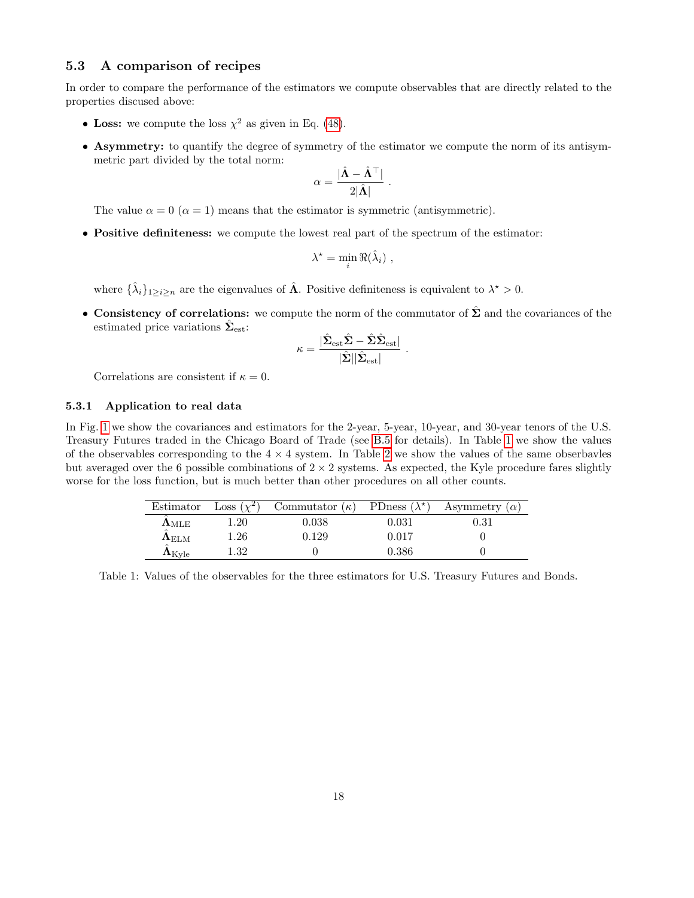## <span id="page-17-0"></span>5.3 A comparison of recipes

In order to compare the performance of the estimators we compute observables that are directly related to the properties discused above:

- Loss: we compute the loss  $\chi^2$  as given in Eq. [\(48\)](#page-13-3).
- Asymmetry: to quantify the degree of symmetry of the estimator we compute the norm of its antisymmetric part divided by the total norm:

$$
\alpha = \frac{|\hat{\mathbf{\Lambda}} - \hat{\mathbf{\Lambda}}^\top|}{2|\hat{\mathbf{\Lambda}}|}
$$

.

<span id="page-17-2"></span>.

The value  $\alpha = 0$  ( $\alpha = 1$ ) means that the estimator is symmetric (antisymmetric).

• Positive definiteness: we compute the lowest real part of the spectrum of the estimator:

$$
\lambda^* = \min_i \Re(\hat{\lambda}_i) ,
$$

where  $\{\hat{\lambda}_i\}_{1\geq i\geq n}$  are the eigenvalues of  $\hat{\Lambda}$ . Positive definiteness is equivalent to  $\lambda^* > 0$ .

• Consistency of correlations: we compute the norm of the commutator of  $\hat{\Sigma}$  and the covariances of the estimated price variations  $\hat{\Sigma}_{est}$ :

$$
\kappa = \frac{|\hat{\boldsymbol{\Sigma}}_{\text{est}}\hat{\boldsymbol{\Sigma}} - \hat{\boldsymbol{\Sigma}}\hat{\boldsymbol{\Sigma}}_{\text{est}}|}{|\hat{\boldsymbol{\Sigma}}||\hat{\boldsymbol{\Sigma}}_{\text{est}}|}
$$

Correlations are consistent if  $\kappa = 0$ .

#### <span id="page-17-1"></span>5.3.1 Application to real data

In Fig. [1](#page-18-1) we show the covariances and estimators for the 2-year, 5-year, 10-year, and 30-year tenors of the U.S. Treasury Futures traded in the Chicago Board of Trade (see [B.5](#page-28-1) for details). In Table [1](#page-17-2) we show the values of the observables corresponding to the  $4 \times 4$  system. In Table [2](#page-18-2) we show the values of the same obserbavles but averaged over the 6 possible combinations of  $2 \times 2$  systems. As expected, the Kyle procedure fares slightly worse for the loss function, but is much better than other procedures on all other counts.

| Estimator                          | Loss $(\chi^2)$ | Commutator $(\kappa)$ PDness $(\lambda^*)$ |       | Asymmetry $(\alpha)$ |
|------------------------------------|-----------------|--------------------------------------------|-------|----------------------|
| ${\bf \Lambda}_{\rm MLE}$          | $1.20\,$        | 0.038                                      | 0.031 | 0.31                 |
| ${\bf \Lambda}_{\rm ELM}$          | $1.26\,$        | 0.129                                      | 0.017 |                      |
| $\mathbf{\Lambda}_{\mathrm{Kyle}}$ | $1.32\,$        |                                            | 0.386 |                      |

Table 1: Values of the observables for the three estimators for U.S. Treasury Futures and Bonds.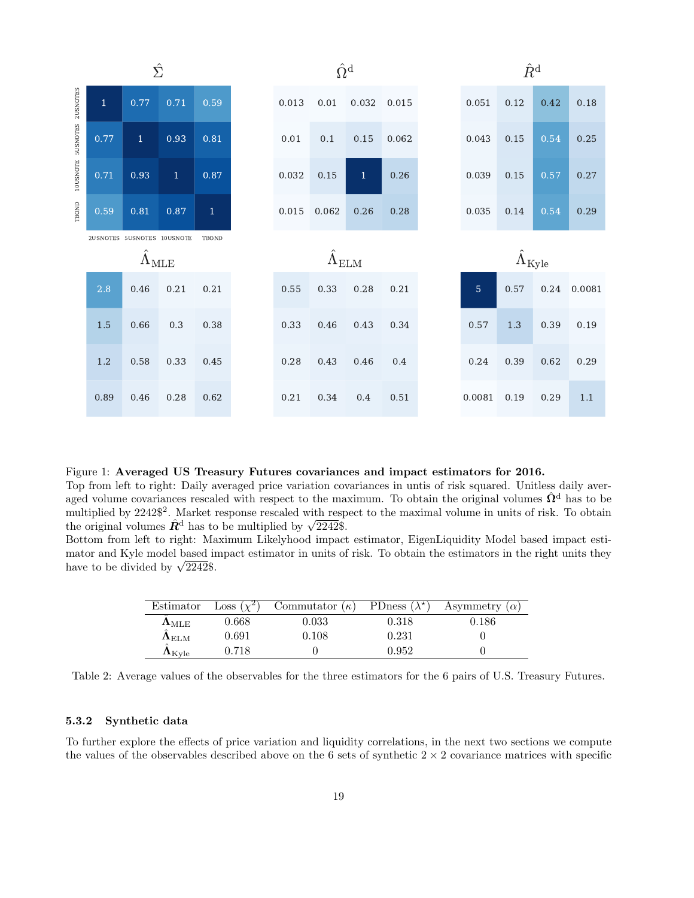

Figure 1: Averaged US Treasury Futures covariances and impact estimators for 2016.

Top from left to right: Daily averaged price variation covariances in untis of risk squared. Unitless daily averaged volume covariances rescaled with respect to the maximum. To obtain the original volumes  $\hat{\Omega}^d$  has to be multiplied by 2242\$<sup>2</sup>. Market response rescaled with respect to the maximal volume in units of risk. To obtain multiplied by 2242<sup>5</sup>. Market response rescaled with resp<br>the original volumes  $\hat{R}^d$  has to be multiplied by  $\sqrt{2242}\$ .

Bottom from left to right: Maximum Likelyhood impact estimator, EigenLiquidity Model based impact estimator and Kyle model based impact estimator in units of risk. To obtain the estimators in the right units they mator and Kyle model based if<br>have to be divided by  $\sqrt{2242}\$ .

<span id="page-18-2"></span><span id="page-18-1"></span>

| Estimator            | Loss $(\chi^2)$ | Commutator $(\kappa)$ | PDness $(\lambda^{\star})$ | Asymmetry $(\alpha)$ |
|----------------------|-----------------|-----------------------|----------------------------|----------------------|
| $\Lambda_{\rm MLE}$  | 0.668           | $\, 0.033 \,$         | 0.318                      | $\,0.186\,$          |
| $\Lambda_{\rm ELM}$  | 0.691           | 0.108                 | 0.231                      |                      |
| $\Lambda_{\rm Kvle}$ | 0.718           |                       | 0.952                      |                      |

Table 2: Average values of the observables for the three estimators for the 6 pairs of U.S. Treasury Futures.

#### <span id="page-18-0"></span>5.3.2 Synthetic data

To further explore the effects of price variation and liquidity correlations, in the next two sections we compute the values of the observables described above on the 6 sets of synthetic  $2 \times 2$  covariance matrices with specific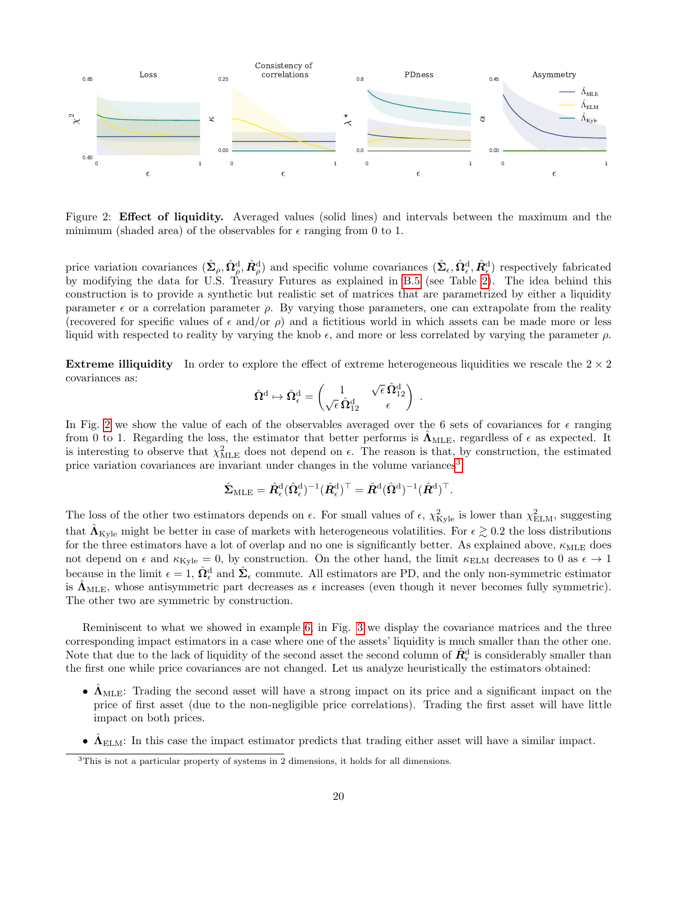

Figure 2: Effect of liquidity. Averaged values (solid lines) and intervals between the maximum and the minimum (shaded area) of the observables for  $\epsilon$  ranging from 0 to 1.

price variation covariances  $(\hat{\Sigma}_{\rho}, \hat{\Omega}_{\rho}^{\rm d}, \hat{R}_{\rho}^{\rm d})$  and specific volume covariances  $(\hat{\Sigma}_{\epsilon}, \hat{\Omega}_{\epsilon}^{\rm d}, \hat{R}_{\epsilon}^{\rm d})$  respectively fabricated by modifying the data for U.S. Treasury Futures as explained in [B.5](#page-28-1) (see Table [2\)](#page-18-2). The idea behind this construction is to provide a synthetic but realistic set of matrices that are parametrized by either a liquidity parameter  $\epsilon$  or a correlation parameter  $\rho$ . By varying those parameters, one can extrapolate from the reality (recovered for specific values of  $\epsilon$  and/or  $\rho$ ) and a fictitious world in which assets can be made more or less liquid with respected to reality by varying the knob  $\epsilon$ , and more or less correlated by varying the parameter  $\rho$ .

**Extreme illiquidity** In order to explore the effect of extreme heterogeneous liquidities we rescale the  $2 \times 2$ covariances as: √

<span id="page-19-0"></span>
$$
\hat{\Omega}^{\mathrm{d}} \mapsto \hat{\Omega}^{\mathrm{d}}_\epsilon = \begin{pmatrix} 1 & \sqrt{\epsilon} \, \hat{\Omega}^{\mathrm{d}}_{12} \\ \sqrt{\epsilon} \, \hat{\Omega}^{\mathrm{d}}_{12} & \epsilon \end{pmatrix} \; .
$$

In Fig. [2](#page-19-0) we show the value of each of the observables averaged over the 6 sets of covariances for  $\epsilon$  ranging from 0 to 1. Regarding the loss, the estimator that better performs is  $\hat{\Lambda}_{\text{MLE}}$ , regardless of  $\epsilon$  as expected. It is interesting to observe that  $\chi^2_{MLE}$  does not depend on  $\epsilon$ . The reason is that, by construction, the estimated price variation covariances are invariant under changes in the volume variances<sup>[3](#page-19-1)</sup>:

$$
\hat{\mathbf{\Sigma}}_{\mathrm{MLE}} = \hat{\mathbf{R}}_{\epsilon}^{\mathrm{d}} (\hat{\mathbf{\Omega}}_{\epsilon}^{\mathrm{d}})^{-1} (\hat{\mathbf{R}}_{\epsilon}^{\mathrm{d}})^{\top} = \hat{\mathbf{R}}^{\mathrm{d}} (\hat{\mathbf{\Omega}}^{\mathrm{d}})^{-1} (\hat{\mathbf{R}}^{\mathrm{d}})^{\top}.
$$

The loss of the other two estimators depends on  $\epsilon$ . For small values of  $\epsilon$ ,  $\chi^2_{\text{Kyle}}$  is lower than  $\chi^2_{\text{ELM}}$ , suggesting that  $\hat{\mathbf{\Lambda}}_{\text{Kyle}}$  might be better in case of markets with heterogeneous volatilities. For  $\epsilon \gtrsim 0.2$  the loss distributions for the three estimators have a lot of overlap and no one is significantly better. As explained above,  $\kappa_{\text{MLE}}$  does not depend on  $\epsilon$  and  $\kappa_{\text{Kyle}} = 0$ , by construction. On the other hand, the limit  $\kappa_{\text{ELM}}$  decreases to 0 as  $\epsilon \to 1$ because in the limit  $\epsilon = 1$ ,  $\hat{\Omega}^d_{\epsilon}$  and  $\hat{\Sigma}_{\epsilon}$  commute. All estimators are PD, and the only non-symmetric estimator is  $\hat{\mathbf{\Lambda}}_{\text{MLE}}$ , whose antisymmetric part decreases as  $\epsilon$  increases (even though it never becomes fully symmetric). The other two are symmetric by construction.

Reminiscent to what we showed in example [6,](#page-11-1) in Fig. [3](#page-20-0) we display the covariance matrices and the three corresponding impact estimators in a case where one of the assets' liquidity is much smaller than the other one. Note that due to the lack of liquidity of the second asset the second column of  $\hat{R}^{\text{d}}_{\epsilon}$  is considerably smaller than the first one while price covariances are not changed. Let us analyze heuristically the estimators obtained:

- $\Lambda_{MLE}$ : Trading the second asset will have a strong impact on its price and a significant impact on the price of first asset (due to the non-negligible price correlations). Trading the first asset will have little impact on both prices.
- $\hat{\Lambda}_{\text{ELM}}$ : In this case the impact estimator predicts that trading either asset will have a similar impact.

<span id="page-19-1"></span><sup>3</sup>This is not a particular property of systems in 2 dimensions, it holds for all dimensions.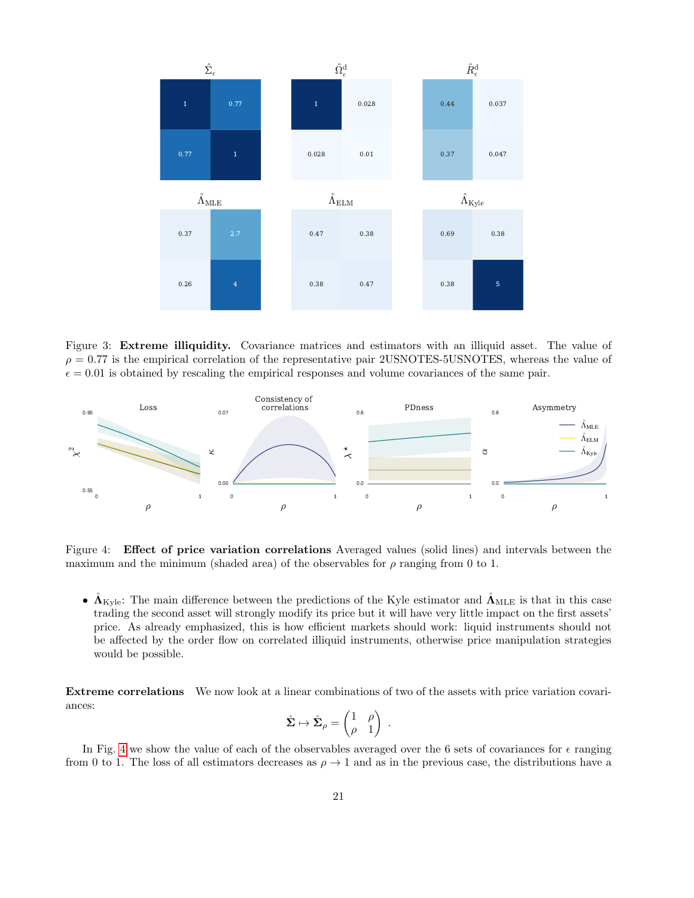<span id="page-20-0"></span>

Figure 3: Extreme illiquidity. Covariance matrices and estimators with an illiquid asset. The value of  $\rho = 0.77$  is the empirical correlation of the representative pair 2USNOTES-5USNOTES, whereas the value of  $\epsilon = 0.01$  is obtained by rescaling the empirical responses and volume covariances of the same pair.



Figure 4: Effect of price variation correlations Averaged values (solid lines) and intervals between the maximum and the minimum (shaded area) of the observables for  $\rho$  ranging from 0 to 1.

•  $\Lambda_{\text{Kyle}}$ : The main difference between the predictions of the Kyle estimator and  $\Lambda_{\text{MLE}}$  is that in this case trading the second asset will strongly modify its price but it will have very little impact on the first assets' price. As already emphasized, this is how efficient markets should work: liquid instruments should not be affected by the order flow on correlated illiquid instruments, otherwise price manipulation strategies would be possible.

Extreme correlations We now look at a linear combinations of two of the assets with price variation covariances:

<span id="page-20-1"></span>
$$
\hat{\Sigma} \mapsto \hat{\Sigma}_{\rho} = \begin{pmatrix} 1 & \rho \\ \rho & 1 \end{pmatrix} .
$$

In Fig. [4](#page-20-1) we show the value of each of the observables averaged over the 6 sets of covariances for  $\epsilon$  ranging from 0 to 1. The loss of all estimators decreases as  $\rho \to 1$  and as in the previous case, the distributions have a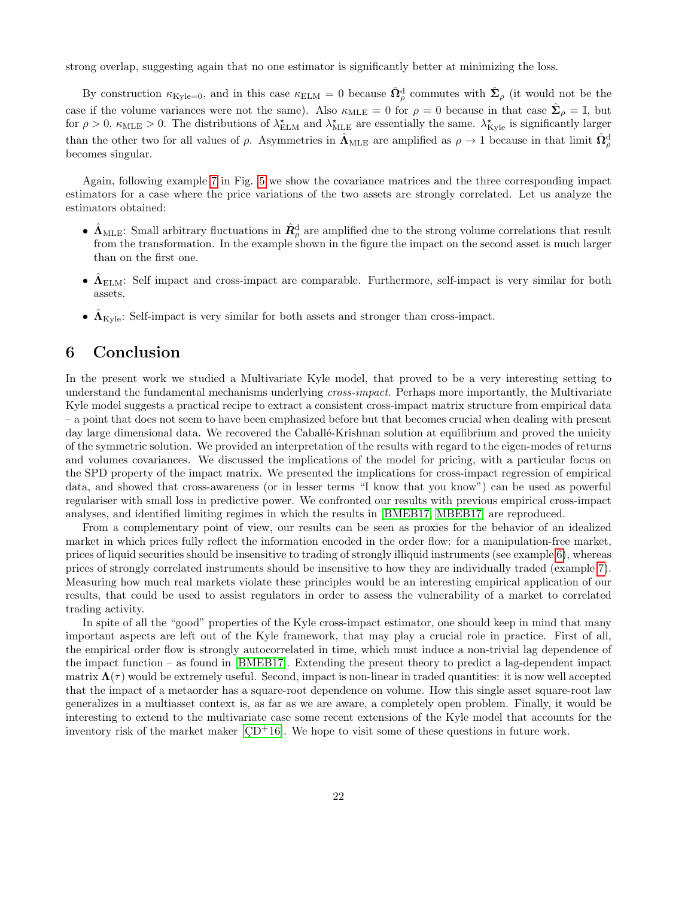strong overlap, suggesting again that no one estimator is significantly better at minimizing the loss.

By construction  $\kappa_{\text{Kyle}=0}$ , and in this case  $\kappa_{\text{ELM}} = 0$  because  $\hat{\Omega}_{\rho}^{\text{d}}$  commutes with  $\hat{\Sigma}_{\rho}$  (it would not be the case if the volume variances were not the same). Also  $\kappa_{MLE} = 0$  for  $\rho = 0$  because in that case  $\hat{\Sigma}_{\rho} = \mathbb{I}$ , but for  $\rho > 0$ ,  $\kappa_{MLE} > 0$ . The distributions of  $\lambda_{ELM}^{\star}$  and  $\lambda_{MLE}^{\star}$  are essentially the same.  $\lambda_{Kyle}^{\star}$  is significantly larger than the other two for all values of  $\rho$ . Asymmetries in  $\hat{\Lambda}_{MLE}$  are amplified as  $\rho \to 1$  because in that limit  $\hat{\Omega}_{\rho}^{\rm d}$ becomes singular.

Again, following example [7](#page-11-2) in Fig. [5](#page-22-0) we show the covariance matrices and the three corresponding impact estimators for a case where the price variations of the two assets are strongly correlated. Let us analyze the estimators obtained:

- $\hat{\Lambda}_{MLE}$ : Small arbitrary fluctuations in  $\hat{R}^{\text{d}}_{\rho}$  are amplified due to the strong volume correlations that result from the transformation. In the example shown in the figure the impact on the second asset is much larger than on the first one.
- $\hat{\Lambda}_{\text{ELM}}$ : Self impact and cross-impact are comparable. Furthermore, self-impact is very similar for both assets.
- $\hat{\Lambda}_{\text{Kvle}}$ : Self-impact is very similar for both assets and stronger than cross-impact.

# <span id="page-21-0"></span>6 Conclusion

In the present work we studied a Multivariate Kyle model, that proved to be a very interesting setting to understand the fundamental mechanisms underlying cross-impact. Perhaps more importantly, the Multivariate Kyle model suggests a practical recipe to extract a consistent cross-impact matrix structure from empirical data – a point that does not seem to have been emphasized before but that becomes crucial when dealing with present day large dimensional data. We recovered the Caballé-Krishnan solution at equilibrium and proved the unicity of the symmetric solution. We provided an interpretation of the results with regard to the eigen-modes of returns and volumes covariances. We discussed the implications of the model for pricing, with a particular focus on the SPD property of the impact matrix. We presented the implications for cross-impact regression of empirical data, and showed that cross-awareness (or in lesser terms "I know that you know") can be used as powerful regulariser with small loss in predictive power. We confronted our results with previous empirical cross-impact analyses, and identified limiting regimes in which the results in [\[BMEB17,](#page-23-4) [MBEB17\]](#page-23-7) are reproduced.

From a complementary point of view, our results can be seen as proxies for the behavior of an idealized market in which prices fully reflect the information encoded in the order flow: for a manipulation-free market, prices of liquid securities should be insensitive to trading of strongly illiquid instruments (see example [6\)](#page-11-1), whereas prices of strongly correlated instruments should be insensitive to how they are individually traded (example [7\)](#page-11-2). Measuring how much real markets violate these principles would be an interesting empirical application of our results, that could be used to assist regulators in order to assess the vulnerability of a market to correlated trading activity.

In spite of all the "good" properties of the Kyle cross-impact estimator, one should keep in mind that many important aspects are left out of the Kyle framework, that may play a crucial role in practice. First of all, the empirical order flow is strongly autocorrelated in time, which must induce a non-trivial lag dependence of the impact function – as found in [\[BMEB17\]](#page-23-4). Extending the present theory to predict a lag-dependent impact matrix  $\Lambda(\tau)$  would be extremely useful. Second, impact is non-linear in traded quantities: it is now well accepted that the impact of a metaorder has a square-root dependence on volume. How this single asset square-root law generalizes in a multiasset context is, as far as we are aware, a completely open problem. Finally, it would be interesting to extend to the multivariate case some recent extensions of the Kyle model that accounts for the inventory risk of the market maker  $[CD<sup>+</sup>16]$ . We hope to visit some of these questions in future work.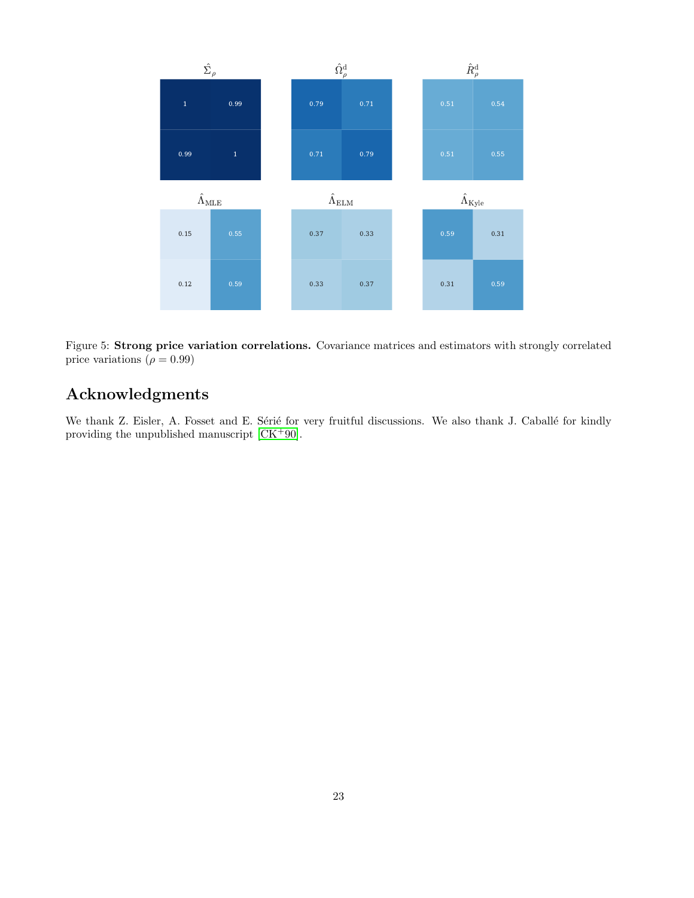<span id="page-22-0"></span>

Figure 5: Strong price variation correlations. Covariance matrices and estimators with strongly correlated price variations ( $\rho = 0.99$ )

# Acknowledgments

We thank Z. Eisler, A. Fosset and E. Sérié for very fruitful discussions. We also thank J. Caballé for kindly providing the unpublished manuscript [\[CK](#page-23-8)+90].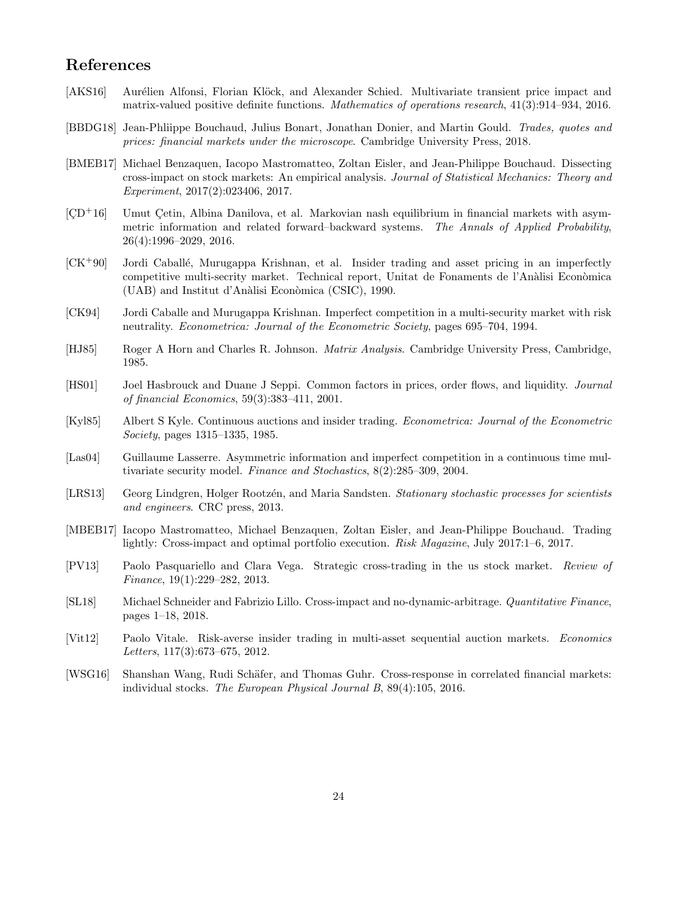# References

- <span id="page-23-12"></span>[AKS16] Aurélien Alfonsi, Florian Klöck, and Alexander Schied. Multivariate transient price impact and matrix-valued positive definite functions. Mathematics of operations research, 41(3):914–934, 2016.
- <span id="page-23-0"></span>[BBDG18] Jean-Phliippe Bouchaud, Julius Bonart, Jonathan Donier, and Martin Gould. Trades, quotes and prices: financial markets under the microscope. Cambridge University Press, 2018.
- <span id="page-23-4"></span>[BMEB17] Michael Benzaquen, Iacopo Mastromatteo, Zoltan Eisler, and Jean-Philippe Bouchaud. Dissecting cross-impact on stock markets: An empirical analysis. Journal of Statistical Mechanics: Theory and Experiment, 2017(2):023406, 2017.
- <span id="page-23-13"></span> $[CD<sup>+</sup>16]$  Umut Cetin, Albina Danilova, et al. Markovian nash equilibrium in financial markets with asymmetric information and related forward–backward systems. The Annals of Applied Probability, 26(4):1996–2029, 2016.
- <span id="page-23-8"></span> $[CK+90]$  Jordi Caballé, Murugappa Krishnan, et al. Insider trading and asset pricing in an imperfectly competitive multi-secrity market. Technical report, Unitat de Fonaments de l'Anàlisi Econòmica  $(UAB)$  and Institut d'Anàlisi Econòmica (CSIC), 1990.
- <span id="page-23-6"></span>[CK94] Jordi Caballe and Murugappa Krishnan. Imperfect competition in a multi-security market with risk neutrality. Econometrica: Journal of the Econometric Society, pages 695–704, 1994.
- <span id="page-23-15"></span>[HJ85] Roger A Horn and Charles R. Johnson. Matrix Analysis. Cambridge University Press, Cambridge, 1985.
- <span id="page-23-1"></span>[HS01] Joel Hasbrouck and Duane J Seppi. Common factors in prices, order flows, and liquidity. Journal of financial Economics, 59(3):383–411, 2001.
- <span id="page-23-5"></span>[Kyl85] Albert S Kyle. Continuous auctions and insider trading. Econometrica: Journal of the Econometric Society, pages 1315–1335, 1985.
- <span id="page-23-10"></span>[Las04] Guillaume Lasserre. Asymmetric information and imperfect competition in a continuous time multivariate security model. Finance and Stochastics, 8(2):285–309, 2004.
- <span id="page-23-14"></span>[LRS13] Georg Lindgren, Holger Rootzén, and Maria Sandsten. Stationary stochastic processes for scientists and engineers. CRC press, 2013.
- <span id="page-23-7"></span>[MBEB17] Iacopo Mastromatteo, Michael Benzaquen, Zoltan Eisler, and Jean-Philippe Bouchaud. Trading lightly: Cross-impact and optimal portfolio execution. Risk Magazine, July 2017:1–6, 2017.
- <span id="page-23-2"></span>[PV13] Paolo Pasquariello and Clara Vega. Strategic cross-trading in the us stock market. Review of Finance, 19(1):229–282, 2013.
- <span id="page-23-11"></span>[SL18] Michael Schneider and Fabrizio Lillo. Cross-impact and no-dynamic-arbitrage. Quantitative Finance, pages 1–18, 2018.
- <span id="page-23-9"></span>[Vit12] Paolo Vitale. Risk-averse insider trading in multi-asset sequential auction markets. Economics Letters, 117(3):673–675, 2012.
- <span id="page-23-3"></span>[WSG16] Shanshan Wang, Rudi Schäfer, and Thomas Guhr. Cross-response in correlated financial markets: individual stocks. The European Physical Journal B, 89(4):105, 2016.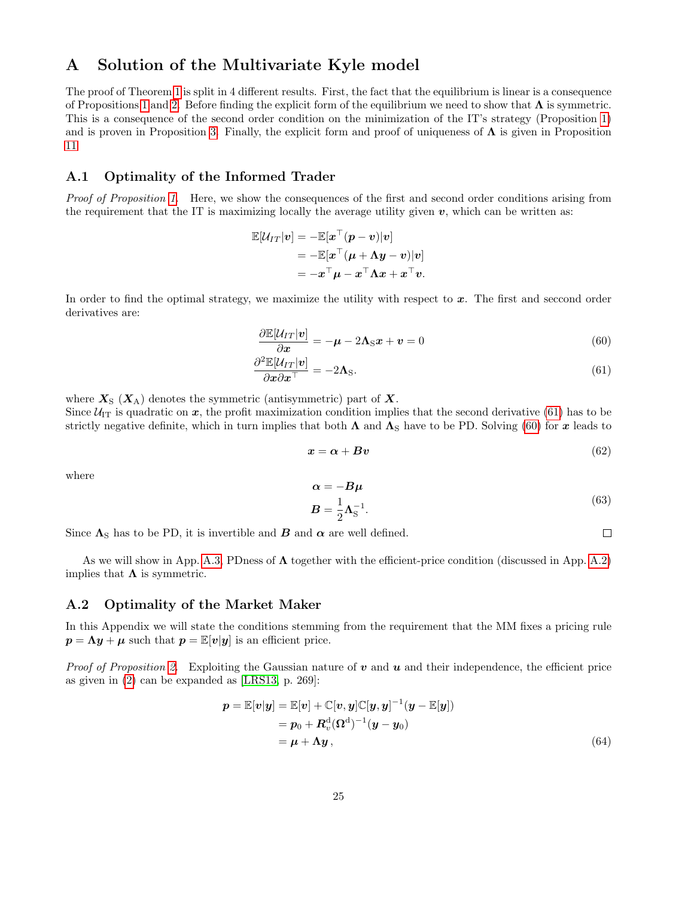# <span id="page-24-0"></span>A Solution of the Multivariate Kyle model

The proof of Theorem [1](#page-5-0) is split in 4 different results. First, the fact that the equilibrium is linear is a consequence of Propositions [1](#page-4-2) and [2.](#page-4-6) Before finding the explicit form of the equilibrium we need to show that  $\Lambda$  is symmetric. This is a consequence of the second order condition on the minimization of the IT's strategy (Proposition [1\)](#page-4-2) and is proven in Proposition [3.](#page-4-7) Finally, the explicit form and proof of uniqueness of  $\Lambda$  is given in Proposition [11](#page-26-3)

## <span id="page-24-1"></span>A.1 Optimality of the Informed Trader

Proof of Proposition [1.](#page-4-2) Here, we show the consequences of the first and second order conditions arising from the requirement that the IT is maximizing locally the average utility given  $v$ , which can be written as:

$$
\mathbb{E}[\mathcal{U}_{IT}|\boldsymbol{v}] = -\mathbb{E}[\boldsymbol{x}^\top(\boldsymbol{p}-\boldsymbol{v})|\boldsymbol{v}] \\ = -\mathbb{E}[\boldsymbol{x}^\top(\boldsymbol{\mu}+\boldsymbol{\Lambda}\boldsymbol{y}-\boldsymbol{v})|\boldsymbol{v}] \\ = -\boldsymbol{x}^\top\boldsymbol{\mu}-\boldsymbol{x}^\top\boldsymbol{\Lambda}\boldsymbol{x}+\boldsymbol{x}^\top\boldsymbol{v}.
$$

In order to find the optimal strategy, we maximize the utility with respect to  $x$ . The first and seccond order derivatives are:

$$
\frac{\partial \mathbb{E}[\mathcal{U}_{IT}|\mathbf{v}]}{\partial \mathbf{x}} = -\boldsymbol{\mu} - 2\boldsymbol{\Lambda}_{\rm S}\mathbf{x} + \mathbf{v} = 0 \tag{60}
$$

$$
\frac{\partial^2 \mathbb{E}[\mathcal{U}_{IT}|\mathbf{v}]}{\partial x \partial x^\top} = -2\mathbf{\Lambda}_S.
$$
\n(61)

where  $X_{\rm S}$  ( $X_{\rm A}$ ) denotes the symmetric (antisymmetric) part of X.

Since  $U_{IT}$  is quadratic on x, the profit maximization condition implies that the second derivative [\(61\)](#page-24-3) has to be strictly negative definite, which in turn implies that both  $\Lambda$  and  $\Lambda_{\rm S}$  have to be PD. Solving [\(60\)](#page-24-4) for x leads to

$$
x = \alpha + Bv \tag{62}
$$

where

$$
\alpha = -B\mu
$$
  
\n
$$
B = \frac{1}{2}\Lambda_S^{-1}.
$$
\n(63)

Since  $\Lambda_{\rm S}$  has to be PD, it is invertible and  $B$  and  $\alpha$  are well defined.

As we will show in App. [A.3,](#page-25-0) PDness of  $\Lambda$  together with the efficient-price condition (discussed in App. [A.2\)](#page-24-2) implies that  $\Lambda$  is symmetric.

#### <span id="page-24-2"></span>A.2 Optimality of the Market Maker

In this Appendix we will state the conditions stemming from the requirement that the MM fixes a pricing rule  $p = \Lambda y + \mu$  such that  $p = \mathbb{E}[v|y]$  is an efficient price.

*Proof of Proposition [2.](#page-4-6)* Exploiting the Gaussian nature of  $v$  and  $u$  and their independence, the efficient price as given in [\(2\)](#page-2-4) can be expanded as [\[LRS13,](#page-23-14) p. 269]:

$$
p = \mathbb{E}[v|y] = \mathbb{E}[v] + \mathbb{C}[v, y]\mathbb{C}[y, y]^{-1}(y - \mathbb{E}[y])
$$
  
=  $p_0 + R_v^d(\Omega^d)^{-1}(y - y_0)$   
=  $\mu + \Lambda y$ , (64)

<span id="page-24-4"></span><span id="page-24-3"></span> $\Box$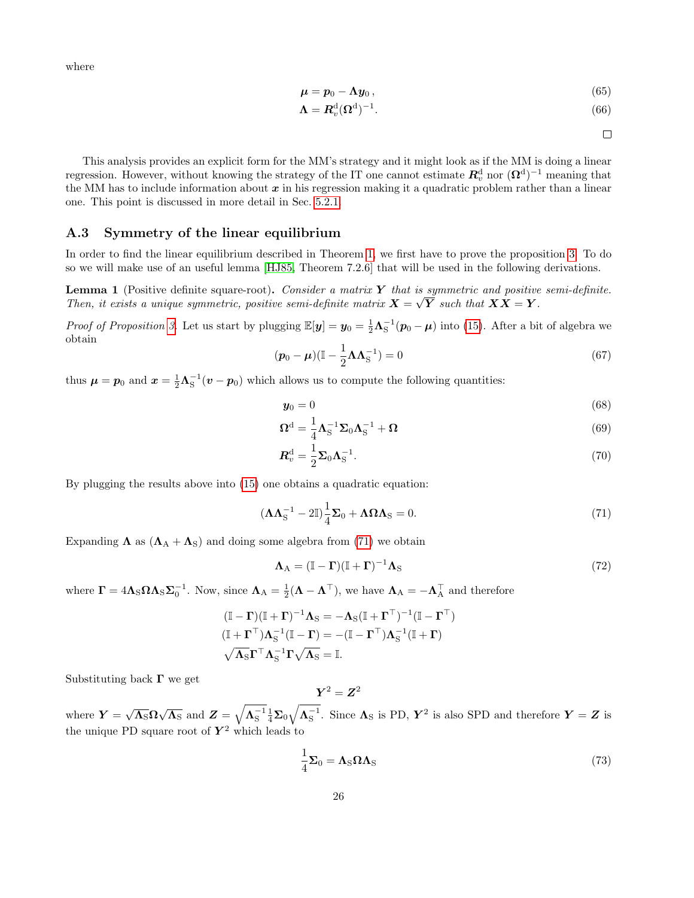where

$$
\boldsymbol{\mu} = \boldsymbol{p}_0 - \boldsymbol{\Lambda} \boldsymbol{y}_0 \,, \tag{65}
$$

$$
\Lambda = \mathbf{R}_v^{\mathbf{d}} (\Omega^{\mathbf{d}})^{-1}.
$$
\n(66)

 $\Box$ 

This analysis provides an explicit form for the MM's strategy and it might look as if the MM is doing a linear regression. However, without knowing the strategy of the IT one cannot estimate  $R_v^d$  nor  $(\Omega^d)^{-1}$  meaning that the MM has to include information about  $x$  in his regression making it a quadratic problem rather than a linear one. This point is discussed in more detail in Sec. [5.2.1.](#page-13-1)

## <span id="page-25-0"></span>A.3 Symmetry of the linear equilibrium

In order to find the linear equilibrium described in Theorem [1,](#page-5-0) we first have to prove the proposition [3.](#page-4-7) To do so we will make use of an useful lemma [\[HJ85,](#page-23-15) Theorem 7.2.6] that will be used in the following derivations.

<span id="page-25-1"></span>**Lemma 1** (Positive definite square-root). Consider a matrix Y that is symmetric and positive semi-definite. Then, it exists a unique symmetric, positive semi-definite matrix  $X = \sqrt{Y}$  such that  $XX = Y$ .

Proof of Proposition [3.](#page-4-7) Let us start by plugging  $\mathbb{E}[\mathbf{y}] = \mathbf{y}_0 = \frac{1}{2} \mathbf{\Lambda}_{\mathrm{S}}^{-1}(\mathbf{p}_0 - \boldsymbol{\mu})$  into [\(15\)](#page-4-4). After a bit of algebra we obtain

$$
(\boldsymbol{p}_0 - \boldsymbol{\mu}) (\mathbb{I} - \frac{1}{2} \boldsymbol{\Lambda} \boldsymbol{\Lambda}_\mathrm{S}^{-1}) = 0 \tag{67}
$$

thus  $\mu = p_0$  and  $x = \frac{1}{2}\Lambda_S^{-1}(v - p_0)$  which allows us to compute the following quantities:

$$
\mathbf{y}_0 = 0 \tag{68}
$$

$$
\Omega^{\mathbf{d}} = \frac{1}{4} \Lambda_{\mathbf{S}}^{-1} \Sigma_0 \Lambda_{\mathbf{S}}^{-1} + \Omega \tag{69}
$$

$$
\boldsymbol{R}_v^{\mathrm{d}} = \frac{1}{2} \boldsymbol{\Sigma}_0 \boldsymbol{\Lambda}_\mathrm{S}^{-1}.
$$
\n(70)

By plugging the results above into [\(15\)](#page-4-4) one obtains a quadratic equation:

<span id="page-25-3"></span>
$$
(\mathbf{\Lambda}\mathbf{\Lambda}_{\mathrm{S}}^{-1} - 2\mathbb{I})\frac{1}{4}\mathbf{\Sigma}_0 + \mathbf{\Lambda}\mathbf{\Omega}\mathbf{\Lambda}_{\mathrm{S}} = 0.
$$
 (71)

Expanding  $\Lambda$  as  $(\Lambda_A + \Lambda_S)$  and doing some algebra from [\(71\)](#page-25-3) we obtain

<span id="page-25-4"></span>
$$
\Lambda_{\rm A} = (\mathbb{I} - \Gamma)(\mathbb{I} + \Gamma)^{-1} \Lambda_{\rm S} \tag{72}
$$

where  $\mathbf{\Gamma} = 4\mathbf{\Lambda}_{\mathrm{S}}\mathbf{\Omega}\mathbf{\Lambda}_{\mathrm{S}}\mathbf{\Sigma}_{0}^{-1}$ . Now, since  $\mathbf{\Lambda}_{\mathrm{A}} = \frac{1}{2}(\mathbf{\Lambda} - \mathbf{\Lambda}^{\top})$ , we have  $\mathbf{\Lambda}_{\mathrm{A}} = -\mathbf{\Lambda}_{\mathrm{A}}^{\top}$  and therefore

$$
(\mathbb{I} - \Gamma)(\mathbb{I} + \Gamma)^{-1}\Lambda_{S} = -\Lambda_{S}(\mathbb{I} + \Gamma^{\top})^{-1}(\mathbb{I} - \Gamma^{\top})
$$

$$
(\mathbb{I} + \Gamma^{\top})\Lambda_{S}^{-1}(\mathbb{I} - \Gamma) = -(\mathbb{I} - \Gamma^{\top})\Lambda_{S}^{-1}(\mathbb{I} + \Gamma)
$$

$$
\sqrt{\Lambda_{S}}\Gamma^{\top}\Lambda_{S}^{-1}\Gamma\sqrt{\Lambda_{S}} = \mathbb{I}.
$$

Substituting back  $\Gamma$  we get

$$
\boldsymbol{Y}^2 = \boldsymbol{Z}^2
$$

where  $Y = \sqrt{\Lambda_S} \Omega \sqrt{\Lambda_S}$  and  $Z = \sqrt{\Lambda_S^{-1}} \frac{1}{4} \Sigma_0 \sqrt{\Lambda_S^{-1}}$ . Since  $\Lambda_S$  is PD,  $Y^2$  is also SPD and therefore  $Y = Z$  is the unique PD square root of  $Y^2$  which leads to

<span id="page-25-2"></span>
$$
\frac{1}{4}\Sigma_0 = \Lambda_{\rm S}\Omega\Lambda_{\rm S} \tag{73}
$$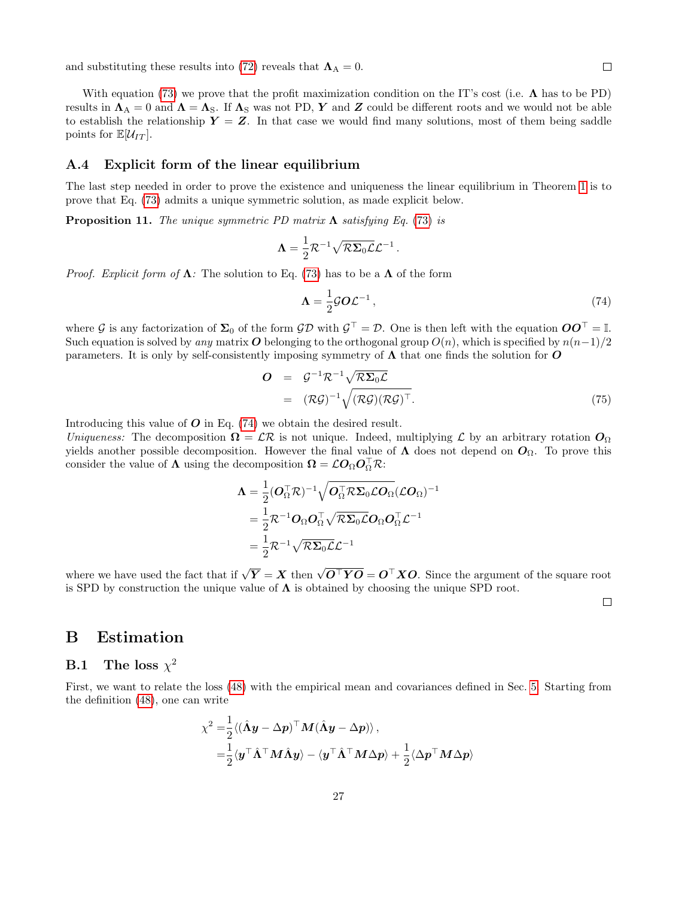and substituting these results into [\(72\)](#page-25-4) reveals that  $\Lambda_A = 0$ .

With equation [\(73\)](#page-25-2) we prove that the profit maximization condition on the IT's cost (i.e.  $\Lambda$  has to be PD) results in  $\Lambda_A = 0$  and  $\Lambda = \Lambda_S$ . If  $\Lambda_S$  was not PD, Y and Z could be different roots and we would not be able to establish the relationship  $Y = Z$ . In that case we would find many solutions, most of them being saddle points for  $\mathbb{E}[\mathcal{U}_{IT}].$ 

## <span id="page-26-0"></span>A.4 Explicit form of the linear equilibrium

The last step needed in order to prove the existence and uniqueness the linear equilibrium in Theorem [1](#page-5-0) is to prove that Eq. [\(73\)](#page-25-2) admits a unique symmetric solution, as made explicit below.

<span id="page-26-3"></span>**Proposition 11.** The unique symmetric PD matrix  $\Lambda$  satisfying Eq. [\(73\)](#page-25-2) is

$$
\Lambda = \frac{1}{2} \mathcal{R}^{-1} \sqrt{\mathcal{R} \Sigma_0 \mathcal{L}} \mathcal{L}^{-1}.
$$

*Proof. Explicit form of*  $\Lambda$ : The solution to Eq. [\(73\)](#page-25-2) has to be a  $\Lambda$  of the form

<span id="page-26-4"></span>
$$
\Lambda = \frac{1}{2} \mathcal{G} O \mathcal{L}^{-1} \,, \tag{74}
$$

where G is any factorization of  $\Sigma_0$  of the form  $\mathcal{GD}$  with  $\mathcal{G}^\top = \mathcal{D}$ . One is then left with the equation  $\mathcal{OO}^\top = \mathbb{I}$ . Such equation is solved by any matrix O belonging to the orthogonal group  $O(n)$ , which is specified by  $n(n-1)/2$ parameters. It is only by self-consistently imposing symmetry of  $\Lambda$  that one finds the solution for  $O$ 

$$
\begin{array}{rcl} \mathbf{O} & = & \mathcal{G}^{-1} \mathcal{R}^{-1} \sqrt{\mathcal{R} \Sigma_0 \mathcal{L}} \\ & = & (\mathcal{R} \mathcal{G})^{-1} \sqrt{(\mathcal{R} \mathcal{G}) (\mathcal{R} \mathcal{G})^\top}. \end{array} \tag{75}
$$

Introducing this value of  $O$  in Eq. [\(74\)](#page-26-4) we obtain the desired result.

Uniqueness: The decomposition  $\Omega = \mathcal{LR}$  is not unique. Indeed, multiplying  $\mathcal L$  by an arbitrary rotation  $\mathcal O_{\Omega}$ yields another possible decomposition. However the final value of  $\Lambda$  does not depend on  $O_{\Omega}$ . To prove this consider the value of  $\Lambda$  using the decomposition  $\Omega = \mathcal{L}O_{\Omega}O_{\Omega}^{\top}R$ :

$$
\begin{aligned} \boldsymbol{\Lambda} &= \frac{1}{2}(\boldsymbol{O}_{\Omega}^{\top}\mathcal{R})^{-1}\sqrt{\boldsymbol{O}_{\Omega}^{\top}\mathcal{R}\boldsymbol{\Sigma}_{0}\mathcal{L}\boldsymbol{O}_{\Omega}}(\mathcal{L}\boldsymbol{O}_{\Omega})^{-1} \\ &= \frac{1}{2}\mathcal{R}^{-1}\boldsymbol{O}_{\Omega}\boldsymbol{O}_{\Omega}^{\top}\sqrt{\mathcal{R}\boldsymbol{\Sigma}_{0}\mathcal{L}}\boldsymbol{O}_{\Omega}\boldsymbol{O}_{\Omega}^{\top}\boldsymbol{\mathcal{L}}^{-1} \\ &= \frac{1}{2}\mathcal{R}^{-1}\sqrt{\mathcal{R}\boldsymbol{\Sigma}_{0}\mathcal{L}}\boldsymbol{\mathcal{L}}^{-1} \end{aligned}
$$

where we have used the fact that if  $\sqrt{Y} = X$  then  $\sqrt{O<sup>\top</sup> YO} = O<sup>\top</sup> XO$ . Since the argument of the square root is SPD by construction the unique value of  $\Lambda$  is obtained by choosing the unique SPD root.

 $\Box$ 

# <span id="page-26-1"></span>B Estimation

## <span id="page-26-2"></span> $\mathrm{B.1}$  The loss  $\chi^2$

First, we want to relate the loss [\(48\)](#page-13-3) with the empirical mean and covariances defined in Sec. [5.](#page-12-0) Starting from the definition [\(48\)](#page-13-3), one can write

$$
\chi^2 = \frac{1}{2} \langle (\hat{\Lambda} y - \Delta p)^{\top} M (\hat{\Lambda} y - \Delta p) \rangle ,
$$
  
=  $\frac{1}{2} \langle y^{\top} \hat{\Lambda}^{\top} M \hat{\Lambda} y \rangle - \langle y^{\top} \hat{\Lambda}^{\top} M \Delta p \rangle + \frac{1}{2} \langle \Delta p^{\top} M \Delta p \rangle$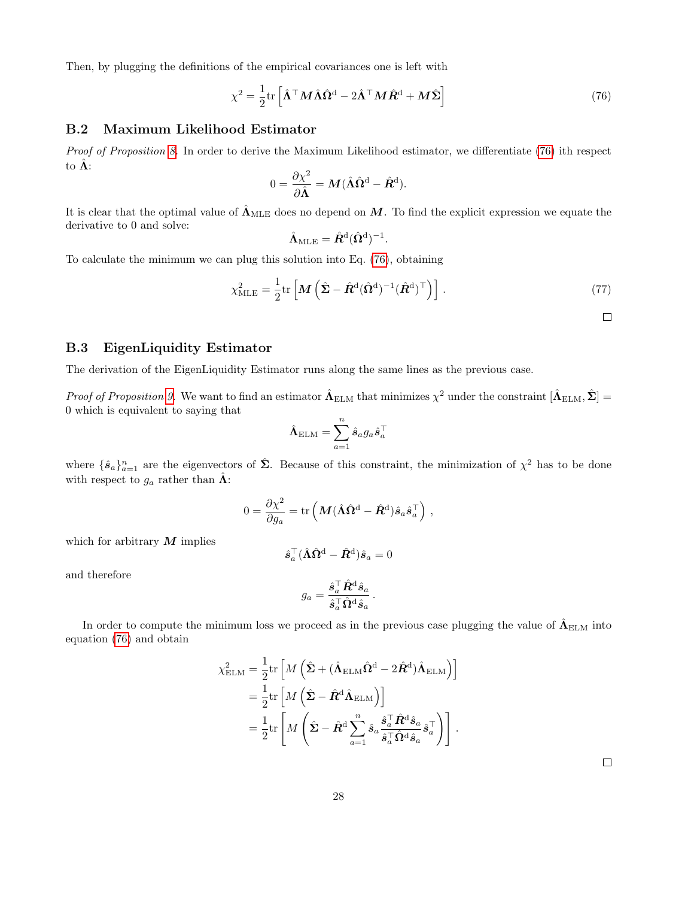Then, by plugging the definitions of the empirical covariances one is left with

<span id="page-27-2"></span>
$$
\chi^2 = \frac{1}{2} \text{tr} \left[ \hat{\mathbf{\Lambda}}^\top \mathbf{M} \hat{\mathbf{\Lambda}} \hat{\mathbf{\Omega}}^{\text{d}} - 2 \hat{\mathbf{\Lambda}}^\top \mathbf{M} \hat{\mathbf{R}}^{\text{d}} + \mathbf{M} \hat{\mathbf{\Sigma}} \right]
$$
(76)

## <span id="page-27-0"></span>B.2 Maximum Likelihood Estimator

Proof of Proposition [8.](#page-13-4) In order to derive the Maximum Likelihood estimator, we differentiate [\(76\)](#page-27-2) ith respect to  $\hat{\Lambda}$ :

$$
0 = \frac{\partial \chi^2}{\partial \hat{\Lambda}} = M (\hat{\Lambda} \hat{\Omega}^{\text{d}} - \hat{R}^{\text{d}}).
$$

It is clear that the optimal value of  $\hat{\Lambda}_{MLE}$  does no depend on M. To find the explicit expression we equate the derivative to 0 and solve:

$$
\hat{\Lambda}_{\mathrm{MLE}} = \hat{\mathbf{R}}^{\mathrm{d}}(\hat{\Omega}^{\mathrm{d}})^{-1}.
$$

To calculate the minimum we can plug this solution into Eq. [\(76\)](#page-27-2), obtaining

$$
\chi_{\text{MLE}}^2 = \frac{1}{2} \text{tr} \left[ \boldsymbol{M} \left( \hat{\boldsymbol{\Sigma}} - \hat{\boldsymbol{R}}^{\text{d}} (\hat{\boldsymbol{\Omega}}^{\text{d}})^{-1} (\hat{\boldsymbol{R}}^{\text{d}})^{\top} \right) \right]. \tag{77}
$$

 $\Box$ 

#### <span id="page-27-1"></span>B.3 EigenLiquidity Estimator

The derivation of the EigenLiquidity Estimator runs along the same lines as the previous case.

Proof of Proposition [9.](#page-14-2) We want to find an estimator  $\hat{\Lambda}_{\text{ELM}}$  that minimizes  $\chi^2$  under the constraint  $[\hat{\Lambda}_{\text{ELM}}, \hat{\Sigma}] =$ 0 which is equivalent to saying that

$$
\hat{\bm{\Lambda}}_{\text{ELM}} = \sum_{a=1}^n \hat{s}_a g_a \hat{s}_a^\top
$$

where  $\{\hat{\mathbf{s}}_a\}_{a=1}^n$  are the eigenvectors of  $\hat{\mathbf{\Sigma}}$ . Because of this constraint, the minimization of  $\chi^2$  has to be done with respect to  $g_a$  rather than  $\hat{\Lambda}$ :

$$
0 = \frac{\partial \chi^2}{\partial g_a} = \text{tr}\left(\boldsymbol{M} (\hat{\boldsymbol{\Lambda}}\hat{\boldsymbol{\Omega}}^{\text{d}} - \hat{\boldsymbol{R}}^{\text{d}}) \hat{\boldsymbol{s}}_a \hat{\boldsymbol{s}}_a^\top\right)\,,
$$

which for arbitrary  $M$  implies

$$
\hat{\boldsymbol{s}}_a^\top (\hat{\boldsymbol{\Lambda}}\hat{\boldsymbol{\Omega}}^{\mathrm{d}} - \hat{\boldsymbol{R}}^{\mathrm{d}})\hat{\boldsymbol{s}}_a = 0
$$

and therefore

$$
g_a = \frac{\hat{\boldsymbol{s}}_a^\top \hat{\boldsymbol{R}}^\text{d} \hat{\boldsymbol{s}}_a}{\hat{\boldsymbol{s}}_a^\top \hat{\boldsymbol{\Omega}}^\text{d} \hat{\boldsymbol{s}}_a}\,.
$$

In order to compute the minimum loss we proceed as in the previous case plugging the value of  $\hat{\Lambda}_{\rm ELM}$  into equation [\(76\)](#page-27-2) and obtain

$$
\chi^2_{\rm ELM} = \frac{1}{2} \text{tr} \left[ M \left( \hat{\Sigma} + (\hat{\mathbf{\Lambda}}_{\rm ELM} \hat{\mathbf{\Omega}}^{\rm d} - 2 \hat{\mathbf{\mathbf{\mathcal{R}}}^{\rm d}}) \hat{\mathbf{\Lambda}}_{\rm ELM} \right) \right]
$$
  
=  $\frac{1}{2} \text{tr} \left[ M \left( \hat{\Sigma} - \hat{\mathbf{\mathbf{\mathcal{R}}}^{\rm d}} \hat{\mathbf{\Lambda}}_{\rm ELM} \right) \right]$   
=  $\frac{1}{2} \text{tr} \left[ M \left( \hat{\Sigma} - \hat{\mathbf{\mathbf{\mathcal{R}}}^{\rm d}} \sum_{a=1}^{n} \hat{s}_a \frac{\hat{s}_a^{\top} \hat{\mathbf{\mathbf{\mathcal{R}}}^{\rm d}} \hat{s}_a}{\hat{s}_a^{\top} \hat{\mathbf{\Omega}}^{\rm d} \hat{s}_a} \hat{s}_a^{\top} \right) \right].$ 

 $\Box$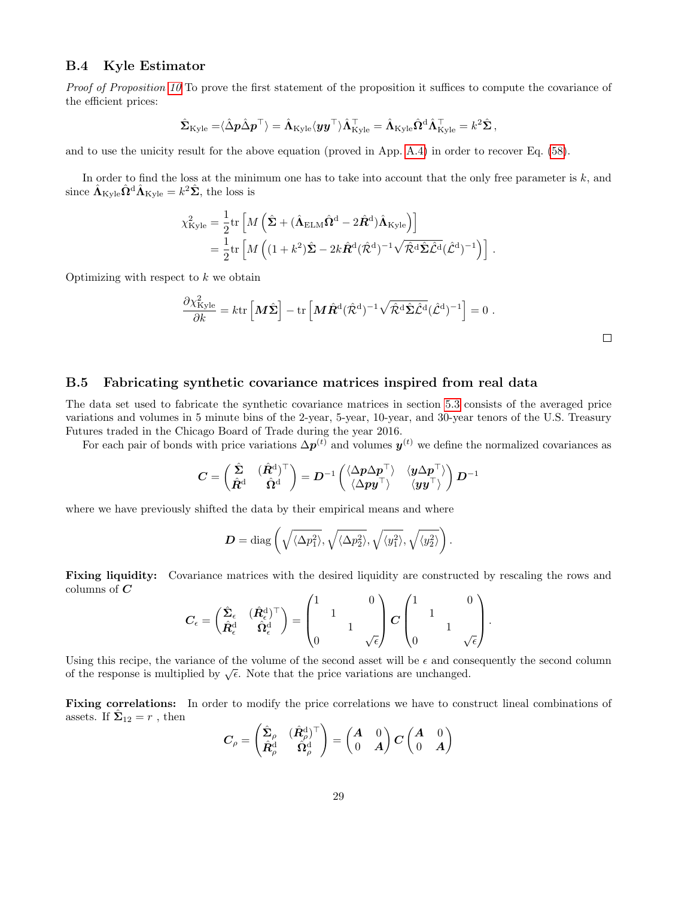#### <span id="page-28-0"></span>B.4 Kyle Estimator

Proof of Proposition [10](#page-15-2) To prove the first statement of the proposition it suffices to compute the covariance of the efficient prices:

$$
\hat{\mathbf{\Sigma}}_{\mathrm{Kyle}} = \langle \hat{\Delta} \mathbf{p} \hat{\Delta} \mathbf{p}^{\top} \rangle = \hat{\mathbf{\Lambda}}_{\mathrm{Kyle}} \langle \mathbf{y} \mathbf{y}^{\top} \rangle \hat{\mathbf{\Lambda}}_{\mathrm{Kyle}}^{\top} = \hat{\mathbf{\Lambda}}_{\mathrm{Kyle}} \hat{\mathbf{\Omega}}^{\mathrm{d}} \hat{\mathbf{\Lambda}}_{\mathrm{Kyle}}^{\top} = k^2 \hat{\mathbf{\Sigma}} \,,
$$

and to use the unicity result for the above equation (proved in App. [A.4\)](#page-26-0) in order to recover Eq. [\(58\)](#page-15-3).

In order to find the loss at the minimum one has to take into account that the only free parameter is  $k$ , and since  $\hat{\mathbf{\Lambda}}_{\text{Kyle}} \hat{\mathbf{\Omega}}^{\text{d}} \hat{\mathbf{\Lambda}}_{\text{Kyle}} = k^2 \hat{\mathbf{\Sigma}}$ , the loss is

$$
\chi_{\text{Kyle}}^2 = \frac{1}{2} \text{tr} \left[ M \left( \hat{\Sigma} + (\hat{\mathbf{\Lambda}}_{\text{ELM}} \hat{\mathbf{\Omega}}^{\text{d}} - 2 \hat{\mathbf{\mathbf{\mathcal{R}}}^{\text{d}}}) \hat{\mathbf{\Lambda}}_{\text{Kyle}} \right) \right]
$$
  
= 
$$
\frac{1}{2} \text{tr} \left[ M \left( (1 + k^2) \hat{\Sigma} - 2k \hat{\mathbf{\mathbf{\mathcal{R}}}^{\text{d}}} (\hat{\mathbf{\mathcal{R}}}^{\text{d}})^{-1} \sqrt{\hat{\mathbf{\mathcal{R}}}^{\text{d}}} \hat{\Sigma} \hat{\mathbf{\mathcal{L}}}^{\text{d}} (\hat{\mathbf{\mathcal{L}}}^{\text{d}})^{-1} \right) \right].
$$

Optimizing with respect to  $k$  we obtain

$$
\frac{\partial \chi^2_{\text{Kyle}}}{\partial k} = k \text{tr} \left[ \boldsymbol{M} \hat{\boldsymbol{\Sigma}} \right] - \text{tr} \left[ \boldsymbol{M} \hat{\boldsymbol{R}}^{\text{d}} (\hat{\mathcal{R}}^{\text{d}})^{-1} \sqrt{\hat{\mathcal{R}}^{\text{d}} \hat{\boldsymbol{\Sigma}} \hat{\mathcal{L}}^{\text{d}}} (\hat{\mathcal{L}}^{\text{d}})^{-1} \right] = 0 \; .
$$

## <span id="page-28-1"></span>B.5 Fabricating synthetic covariance matrices inspired from real data

The data set used to fabricate the synthetic covariance matrices in section [5.3](#page-17-0) consists of the averaged price variations and volumes in 5 minute bins of the 2-year, 5-year, 10-year, and 30-year tenors of the U.S. Treasury Futures traded in the Chicago Board of Trade during the year 2016.

For each pair of bonds with price variations  $\Delta p^{(t)}$  and volumes  $y^{(t)}$  we define the normalized covariances as

$$
\boldsymbol{C} = \begin{pmatrix} \hat{\boldsymbol{\Sigma}} & (\hat{\boldsymbol{R}}^{\text{d}})^\top \\ \hat{\boldsymbol{R}}^{\text{d}} & \hat{\boldsymbol{\Omega}}^{\text{d}} \end{pmatrix} = \boldsymbol{D}^{-1}\begin{pmatrix} \langle \Delta \boldsymbol{p} \Delta \boldsymbol{p}^\top \rangle & \langle \boldsymbol{y} \Delta \boldsymbol{p}^\top \rangle \\ \langle \Delta \boldsymbol{p} \boldsymbol{y}^\top \rangle & \langle \boldsymbol{y} \boldsymbol{y}^\top \rangle \end{pmatrix} \boldsymbol{D}^{-1}
$$

where we have previously shifted the data by their empirical means and where

$$
\boldsymbol{D} = \text{diag}\left(\sqrt{\langle \Delta p_1^2 \rangle}, \sqrt{\langle \Delta p_2^2 \rangle}, \sqrt{\langle y_1^2 \rangle}, \sqrt{\langle y_2^2 \rangle}\right).
$$

Fixing liquidity: Covariance matrices with the desired liquidity are constructed by rescaling the rows and columns of  $C$  $\lambda$ 

$$
\boldsymbol{C}_{\epsilon} = \begin{pmatrix} \hat{\Sigma}_{\epsilon} & (\hat{\boldsymbol{R}}_{\epsilon}^{\mathrm{d}})^{\top} \\ \hat{\boldsymbol{R}}_{\epsilon}^{\mathrm{d}} & \hat{\boldsymbol{\Omega}}_{\epsilon}^{\mathrm{d}} \end{pmatrix} = \begin{pmatrix} 1 & 0 \\ & 1 & \\ 0 & & \sqrt{\epsilon} \end{pmatrix} \boldsymbol{C} \begin{pmatrix} 1 & 0 \\ & 1 & \\ 0 & & \sqrt{\epsilon} \end{pmatrix}.
$$

Using this recipe, the variance of the volume of the second asset will be  $\epsilon$  and consequently the second column of the response is multiplied by  $\sqrt{\epsilon}$ . Note that the price variations are unchanged.

Fixing correlations: In order to modify the price correlations we have to construct lineal combinations of assets. If  $\hat{\Sigma}_{12} = r$ , then

$$
\mathbf{C}_{\rho} = \begin{pmatrix} \hat{\mathbf{\Sigma}}_{\rho} & (\hat{R}_{\rho}^{\text{d}})^{\top} \\ \hat{R}_{\rho}^{\text{d}} & \hat{\Omega}_{\rho}^{\text{d}} \end{pmatrix} = \begin{pmatrix} A & 0 \\ 0 & A \end{pmatrix} \mathbf{C} \begin{pmatrix} A & 0 \\ 0 & A \end{pmatrix}
$$